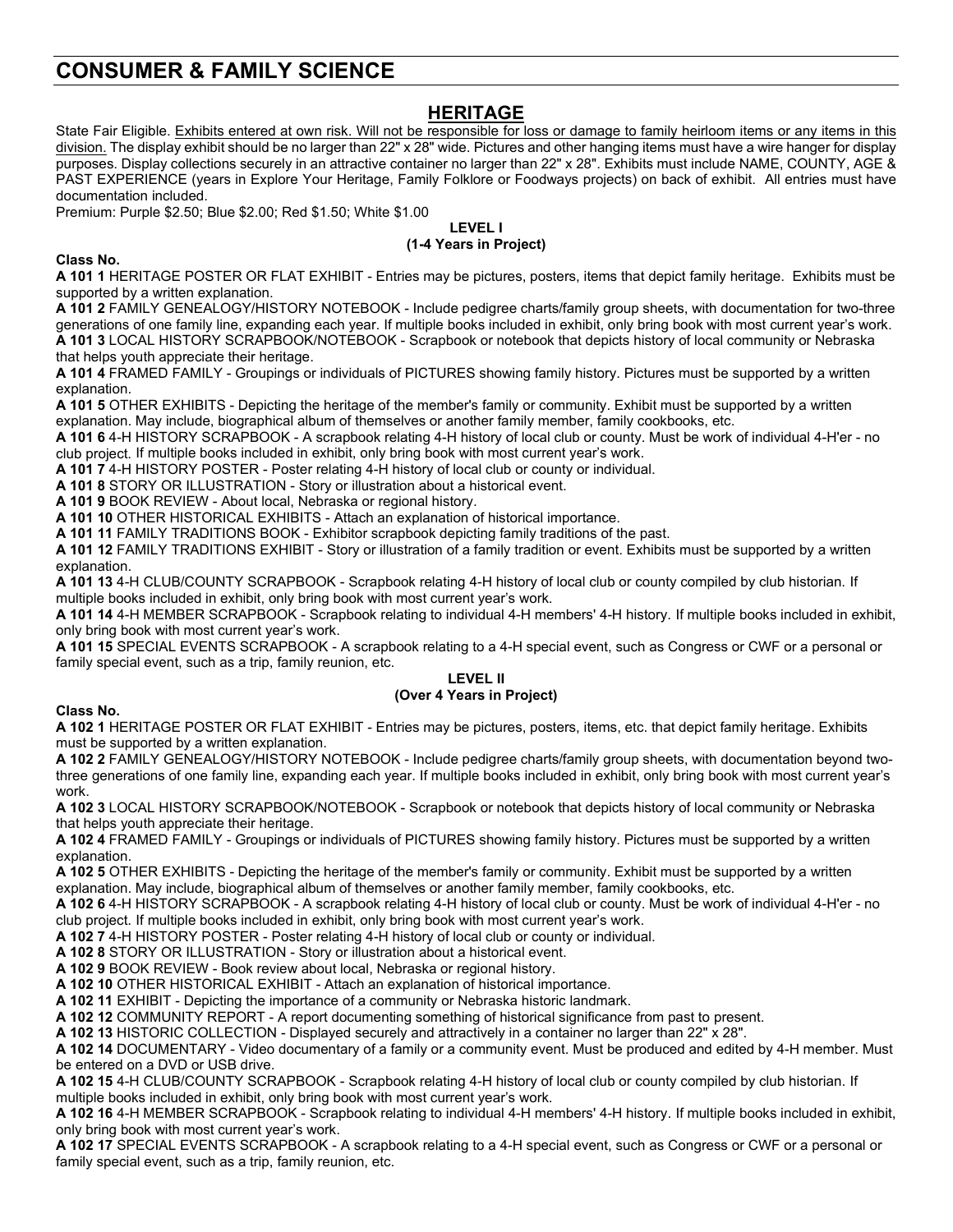# **CONSUMER & FAMILY SCIENCE**

# **HERITAGE**

State Fair Eligible. Exhibits entered at own risk. Will not be responsible for loss or damage to family heirloom items or any items in this division. The display exhibit should be no larger than 22" x 28" wide. Pictures and other hanging items must have a wire hanger for display purposes. Display collections securely in an attractive container no larger than 22" x 28". Exhibits must include NAME, COUNTY, AGE & PAST EXPERIENCE (years in Explore Your Heritage, Family Folklore or Foodways projects) on back of exhibit. All entries must have documentation included.

Premium: Purple \$2.50; Blue \$2.00; Red \$1.50; White \$1.00

#### **LEVEL I (1-4 Years in Project)**

## **Class No.**

**A 101 1** HERITAGE POSTER OR FLAT EXHIBIT - Entries may be pictures, posters, items that depict family heritage. Exhibits must be supported by a written explanation.

**A 101 2** FAMILY GENEALOGY/HISTORY NOTEBOOK - Include pedigree charts/family group sheets, with documentation for two-three generations of one family line, expanding each year. If multiple books included in exhibit, only bring book with most current year's work. **A 101 3** LOCAL HISTORY SCRAPBOOK/NOTEBOOK - Scrapbook or notebook that depicts history of local community or Nebraska that helps youth appreciate their heritage.

**A 101 4** FRAMED FAMILY - Groupings or individuals of PICTURES showing family history. Pictures must be supported by a written explanation.

**A 101 5** OTHER EXHIBITS - Depicting the heritage of the member's family or community. Exhibit must be supported by a written explanation. May include, biographical album of themselves or another family member, family cookbooks, etc.

**A 101 6** 4-H HISTORY SCRAPBOOK - A scrapbook relating 4-H history of local club or county. Must be work of individual 4-H'er - no club project. If multiple books included in exhibit, only bring book with most current year's work.

**A 101 7** 4-H HISTORY POSTER - Poster relating 4-H history of local club or county or individual.

**A 101 8** STORY OR ILLUSTRATION - Story or illustration about a historical event.

**A 101 9** BOOK REVIEW - About local, Nebraska or regional history.

**A 101 10** OTHER HISTORICAL EXHIBITS - Attach an explanation of historical importance.

**A 101 11** FAMILY TRADITIONS BOOK - Exhibitor scrapbook depicting family traditions of the past.

**A 101 12** FAMILY TRADITIONS EXHIBIT - Story or illustration of a family tradition or event. Exhibits must be supported by a written explanation.

**A 101 13** 4-H CLUB/COUNTY SCRAPBOOK - Scrapbook relating 4-H history of local club or county compiled by club historian. If multiple books included in exhibit, only bring book with most current year's work.

**A 101 14** 4-H MEMBER SCRAPBOOK - Scrapbook relating to individual 4-H members' 4-H history. If multiple books included in exhibit, only bring book with most current year's work.

**A 101 15** SPECIAL EVENTS SCRAPBOOK - A scrapbook relating to a 4-H special event, such as Congress or CWF or a personal or family special event, such as a trip, family reunion, etc.

#### **LEVEL II (Over 4 Years in Project)**

## **Class No.**

**A 102 1** HERITAGE POSTER OR FLAT EXHIBIT - Entries may be pictures, posters, items, etc. that depict family heritage. Exhibits must be supported by a written explanation.

**A 102 2** FAMILY GENEALOGY/HISTORY NOTEBOOK - Include pedigree charts/family group sheets, with documentation beyond twothree generations of one family line, expanding each year. If multiple books included in exhibit, only bring book with most current year's work.

**A 102 3** LOCAL HISTORY SCRAPBOOK/NOTEBOOK - Scrapbook or notebook that depicts history of local community or Nebraska that helps youth appreciate their heritage.

**A 102 4** FRAMED FAMILY - Groupings or individuals of PICTURES showing family history. Pictures must be supported by a written explanation.

**A 102 5** OTHER EXHIBITS - Depicting the heritage of the member's family or community. Exhibit must be supported by a written explanation. May include, biographical album of themselves or another family member, family cookbooks, etc.

**A 102 6** 4-H HISTORY SCRAPBOOK - A scrapbook relating 4-H history of local club or county. Must be work of individual 4-H'er - no club project. If multiple books included in exhibit, only bring book with most current year's work.

**A 102 7** 4-H HISTORY POSTER - Poster relating 4-H history of local club or county or individual.

**A 102 8** STORY OR ILLUSTRATION - Story or illustration about a historical event.

**A 102 9** BOOK REVIEW - Book review about local, Nebraska or regional history.

**A 102 10** OTHER HISTORICAL EXHIBIT - Attach an explanation of historical importance.

**A 102 11** EXHIBIT - Depicting the importance of a community or Nebraska historic landmark.

**A 102 12** COMMUNITY REPORT - A report documenting something of historical significance from past to present.

**A 102 13** HISTORIC COLLECTION - Displayed securely and attractively in a container no larger than 22" x 28".

**A 102 14** DOCUMENTARY - Video documentary of a family or a community event. Must be produced and edited by 4-H member. Must be entered on a DVD or USB drive.

**A 102 15** 4-H CLUB/COUNTY SCRAPBOOK - Scrapbook relating 4-H history of local club or county compiled by club historian. If multiple books included in exhibit, only bring book with most current year's work.

**A 102 16** 4-H MEMBER SCRAPBOOK - Scrapbook relating to individual 4-H members' 4-H history. If multiple books included in exhibit, only bring book with most current year's work.

**A 102 17** SPECIAL EVENTS SCRAPBOOK - A scrapbook relating to a 4-H special event, such as Congress or CWF or a personal or family special event, such as a trip, family reunion, etc.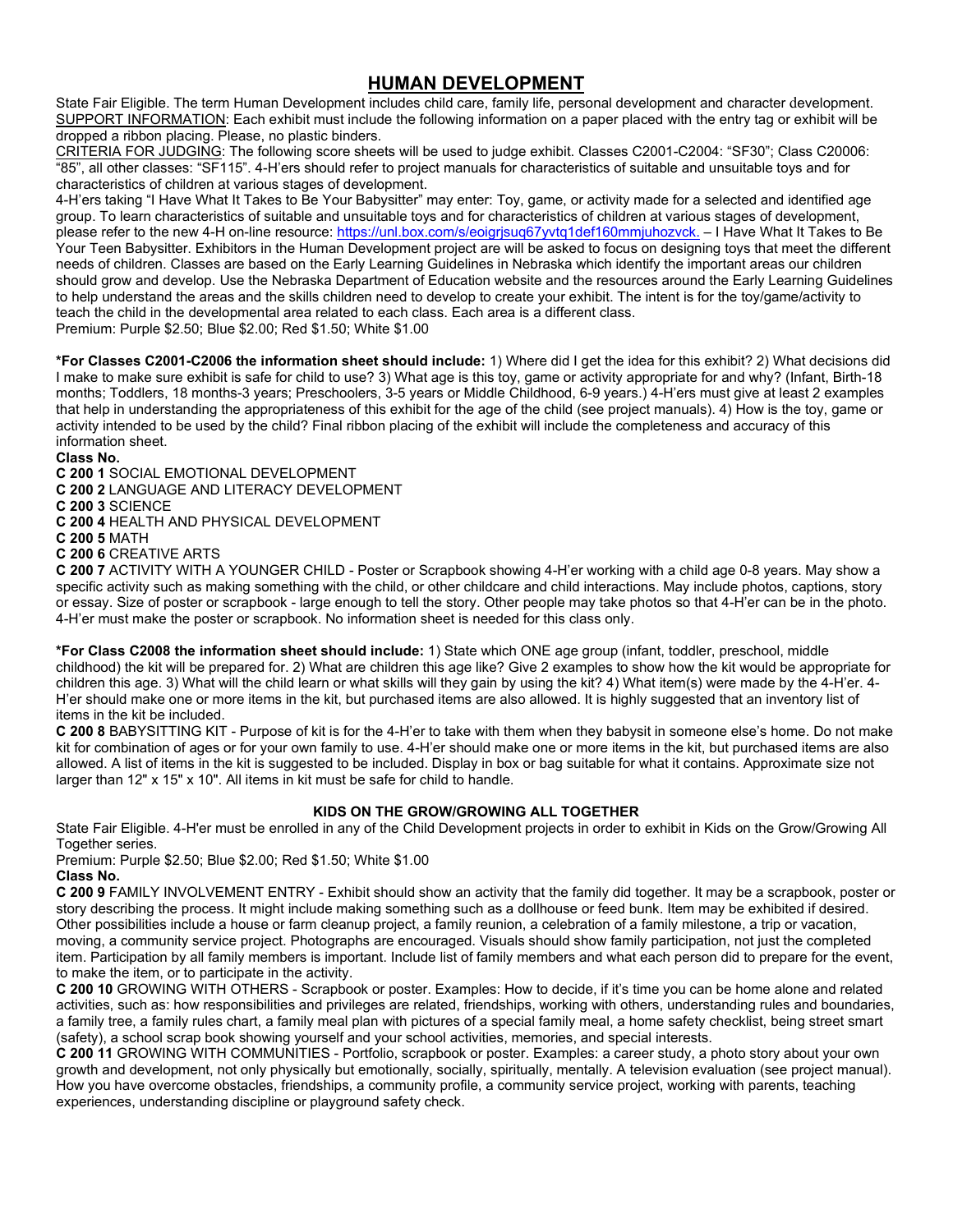# **HUMAN DEVELOPMENT**

State Fair Eligible. The term Human Development includes child care, family life, personal development and character development. SUPPORT INFORMATION: Each exhibit must include the following information on a paper placed with the entry tag or exhibit will be dropped a ribbon placing. Please, no plastic binders.

CRITERIA FOR JUDGING: The following score sheets will be used to judge exhibit. Classes C2001-C2004: "SF30"; Class C20006: "85", all other classes: "SF115". 4-H'ers should refer to project manuals for characteristics of suitable and unsuitable toys and for characteristics of children at various stages of development.

4-H'ers taking "I Have What It Takes to Be Your Babysitter" may enter: Toy, game, or activity made for a selected and identified age group. To learn characteristics of suitable and unsuitable toys and for characteristics of children at various stages of development, please refer to the new 4-H on-line resource: [https://unl.box.com/s/eoigrjsuq67yvtq1def160mmjuhozvck.](https://unl.box.com/s/eoigrjsuq67yvtq1def160mmjuhozvck) – I Have What It Takes to Be Your Teen Babysitter. Exhibitors in the Human Development project are will be asked to focus on designing toys that meet the different needs of children. Classes are based on the Early Learning Guidelines in Nebraska which identify the important areas our children should grow and develop. Use the Nebraska Department of Education website and the resources around the Early Learning Guidelines to help understand the areas and the skills children need to develop to create your exhibit. The intent is for the toy/game/activity to teach the child in the developmental area related to each class. Each area is a different class. Premium: Purple \$2.50; Blue \$2.00; Red \$1.50; White \$1.00

**\*For Classes C2001-C2006 the information sheet should include:** 1) Where did I get the idea for this exhibit? 2) What decisions did I make to make sure exhibit is safe for child to use? 3) What age is this toy, game or activity appropriate for and why? (Infant, Birth-18 months; Toddlers, 18 months-3 years; Preschoolers, 3-5 years or Middle Childhood, 6-9 years.) 4-H'ers must give at least 2 examples that help in understanding the appropriateness of this exhibit for the age of the child (see project manuals). 4) How is the toy, game or activity intended to be used by the child? Final ribbon placing of the exhibit will include the completeness and accuracy of this information sheet.

#### **Class No.**

**C 200 1** SOCIAL EMOTIONAL DEVELOPMENT

**C 200 2** LANGUAGE AND LITERACY DEVELOPMENT

**C 200 3** SCIENCE

**C 200 4** HEALTH AND PHYSICAL DEVELOPMENT

**C 200 5** MATH

**C 200 6** CREATIVE ARTS

**C 200 7** ACTIVITY WITH A YOUNGER CHILD - Poster or Scrapbook showing 4-H'er working with a child age 0-8 years. May show a specific activity such as making something with the child, or other childcare and child interactions. May include photos, captions, story or essay. Size of poster or scrapbook - large enough to tell the story. Other people may take photos so that 4-H'er can be in the photo. 4-H'er must make the poster or scrapbook. No information sheet is needed for this class only.

**\*For Class C2008 the information sheet should include:** 1) State which ONE age group (infant, toddler, preschool, middle childhood) the kit will be prepared for. 2) What are children this age like? Give 2 examples to show how the kit would be appropriate for children this age. 3) What will the child learn or what skills will they gain by using the kit? 4) What item(s) were made by the 4-H'er. 4- H'er should make one or more items in the kit, but purchased items are also allowed. It is highly suggested that an inventory list of items in the kit be included.

**C 200 8** BABYSITTING KIT - Purpose of kit is for the 4-H'er to take with them when they babysit in someone else's home. Do not make kit for combination of ages or for your own family to use. 4-H'er should make one or more items in the kit, but purchased items are also allowed. A list of items in the kit is suggested to be included. Display in box or bag suitable for what it contains. Approximate size not larger than 12" x 15" x 10". All items in kit must be safe for child to handle.

## **KIDS ON THE GROW/GROWING ALL TOGETHER**

State Fair Eligible. 4-H'er must be enrolled in any of the Child Development projects in order to exhibit in Kids on the Grow/Growing All Together series.

Premium: Purple \$2.50; Blue \$2.00; Red \$1.50; White \$1.00

**Class No.**

**C 200 9** FAMILY INVOLVEMENT ENTRY - Exhibit should show an activity that the family did together. It may be a scrapbook, poster or story describing the process. It might include making something such as a dollhouse or feed bunk. Item may be exhibited if desired. Other possibilities include a house or farm cleanup project, a family reunion, a celebration of a family milestone, a trip or vacation, moving, a community service project. Photographs are encouraged. Visuals should show family participation, not just the completed item. Participation by all family members is important. Include list of family members and what each person did to prepare for the event, to make the item, or to participate in the activity.

**C 200 10** GROWING WITH OTHERS - Scrapbook or poster. Examples: How to decide, if it's time you can be home alone and related activities, such as: how responsibilities and privileges are related, friendships, working with others, understanding rules and boundaries, a family tree, a family rules chart, a family meal plan with pictures of a special family meal, a home safety checklist, being street smart (safety), a school scrap book showing yourself and your school activities, memories, and special interests.

**C 200 11** GROWING WITH COMMUNITIES - Portfolio, scrapbook or poster. Examples: a career study, a photo story about your own growth and development, not only physically but emotionally, socially, spiritually, mentally. A television evaluation (see project manual). How you have overcome obstacles, friendships, a community profile, a community service project, working with parents, teaching experiences, understanding discipline or playground safety check.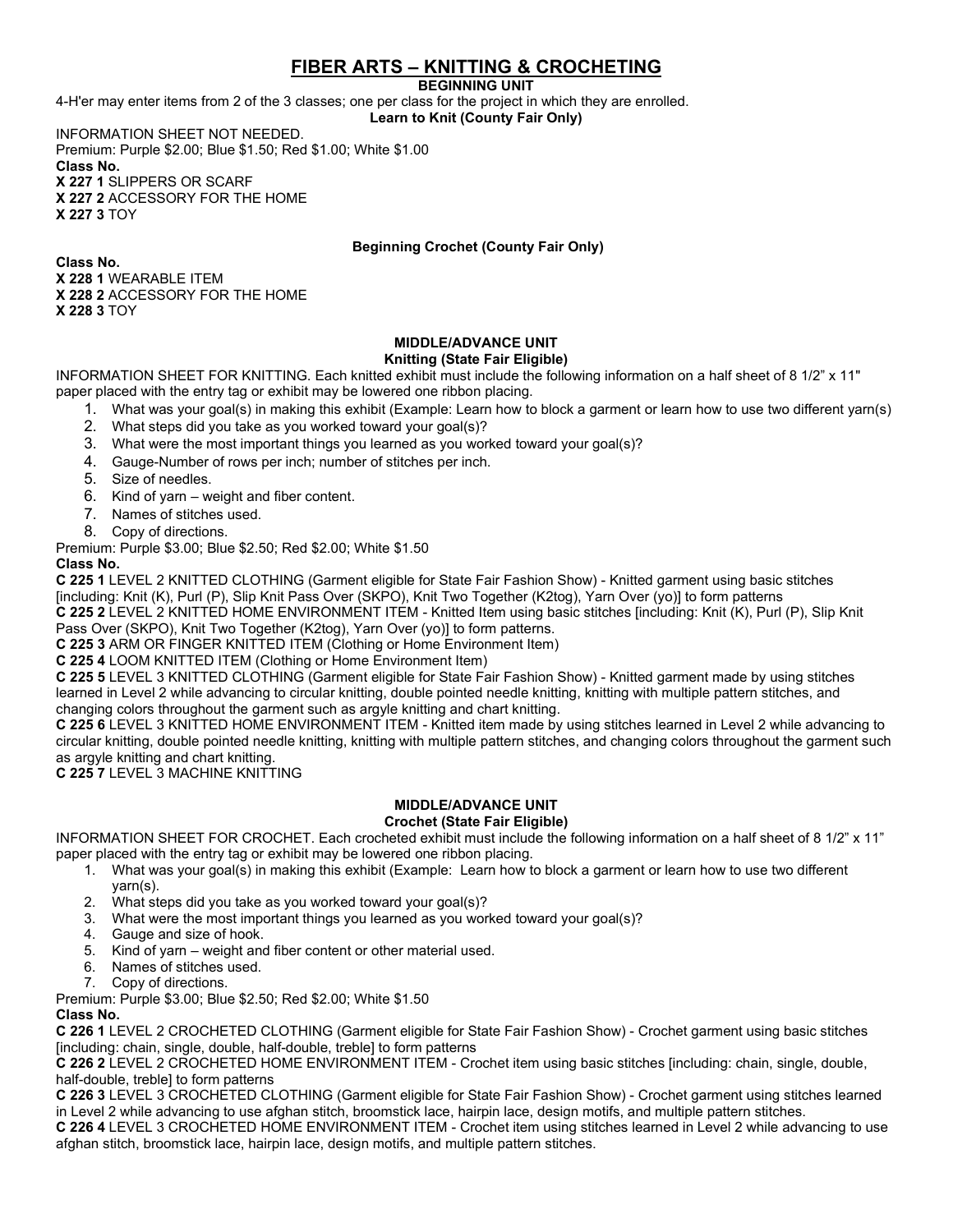# **FIBER ARTS – KNITTING & CROCHETING**

**BEGINNING UNIT**

4-H'er may enter items from 2 of the 3 classes; one per class for the project in which they are enrolled. **Learn to Knit (County Fair Only)**

INFORMATION SHEET NOT NEEDED. Premium: Purple \$2.00; Blue \$1.50; Red \$1.00; White \$1.00 **Class No. X 227 1** SLIPPERS OR SCARF **X 227 2** ACCESSORY FOR THE HOME

**X 227 3** TOY

## **Beginning Crochet (County Fair Only)**

**Class No. X 228 1** WEARABLE ITEM **X 228 2** ACCESSORY FOR THE HOME **X 228 3** TOY

### **MIDDLE/ADVANCE UNIT Knitting (State Fair Eligible)**

INFORMATION SHEET FOR KNITTING. Each knitted exhibit must include the following information on a half sheet of 8 1/2" x 11"

- paper placed with the entry tag or exhibit may be lowered one ribbon placing.
	- 1. What was your goal(s) in making this exhibit (Example: Learn how to block a garment or learn how to use two different yarn(s)
	- 2. What steps did you take as you worked toward your goal(s)?
	- 3. What were the most important things you learned as you worked toward your goal(s)?
	- 4. Gauge-Number of rows per inch; number of stitches per inch.
	- 5. Size of needles.
	- 6. Kind of yarn weight and fiber content.
	- 7. Names of stitches used.
	- 8. Copy of directions.

Premium: Purple \$3.00; Blue \$2.50; Red \$2.00; White \$1.50

## **Class No.**

**C 225 1** LEVEL 2 KNITTED CLOTHING (Garment eligible for State Fair Fashion Show) - Knitted garment using basic stitches [including: Knit (K), Purl (P), Slip Knit Pass Over (SKPO), Knit Two Together (K2tog), Yarn Over (yo)] to form patterns **C 225 2** LEVEL 2 KNITTED HOME ENVIRONMENT ITEM - Knitted Item using basic stitches [including: Knit (K), Purl (P), Slip Knit Pass Over (SKPO), Knit Two Together (K2tog), Yarn Over (yo)] to form patterns.

**C 225 3** ARM OR FINGER KNITTED ITEM (Clothing or Home Environment Item)

**C 225 4** LOOM KNITTED ITEM (Clothing or Home Environment Item)

**C 225 5** LEVEL 3 KNITTED CLOTHING (Garment eligible for State Fair Fashion Show) - Knitted garment made by using stitches learned in Level 2 while advancing to circular knitting, double pointed needle knitting, knitting with multiple pattern stitches, and changing colors throughout the garment such as argyle knitting and chart knitting.

**C 225 6** LEVEL 3 KNITTED HOME ENVIRONMENT ITEM - Knitted item made by using stitches learned in Level 2 while advancing to circular knitting, double pointed needle knitting, knitting with multiple pattern stitches, and changing colors throughout the garment such as argyle knitting and chart knitting.

**C 225 7** LEVEL 3 MACHINE KNITTING

## **MIDDLE/ADVANCE UNIT**

## **Crochet (State Fair Eligible)**

INFORMATION SHEET FOR CROCHET. Each crocheted exhibit must include the following information on a half sheet of 8 1/2" x 11" paper placed with the entry tag or exhibit may be lowered one ribbon placing.

- 1. What was your goal(s) in making this exhibit (Example: Learn how to block a garment or learn how to use two different yarn(s).
- 2. What steps did you take as you worked toward your goal(s)?
- 3. What were the most important things you learned as you worked toward your goal(s)?
- 4. Gauge and size of hook.
- 5. Kind of yarn weight and fiber content or other material used.
- 6. Names of stitches used.
- 7. Copy of directions.

Premium: Purple \$3.00; Blue \$2.50; Red \$2.00; White \$1.50

## **Class No.**

**C 226 1** LEVEL 2 CROCHETED CLOTHING (Garment eligible for State Fair Fashion Show) - Crochet garment using basic stitches [including: chain, single, double, half-double, treble] to form patterns

**C 226 2** LEVEL 2 CROCHETED HOME ENVIRONMENT ITEM - Crochet item using basic stitches [including: chain, single, double, half-double, treble] to form patterns

**C 226 3** LEVEL 3 CROCHETED CLOTHING (Garment eligible for State Fair Fashion Show) - Crochet garment using stitches learned in Level 2 while advancing to use afghan stitch, broomstick lace, hairpin lace, design motifs, and multiple pattern stitches.

**C 226 4** LEVEL 3 CROCHETED HOME ENVIRONMENT ITEM - Crochet item using stitches learned in Level 2 while advancing to use afghan stitch, broomstick lace, hairpin lace, design motifs, and multiple pattern stitches.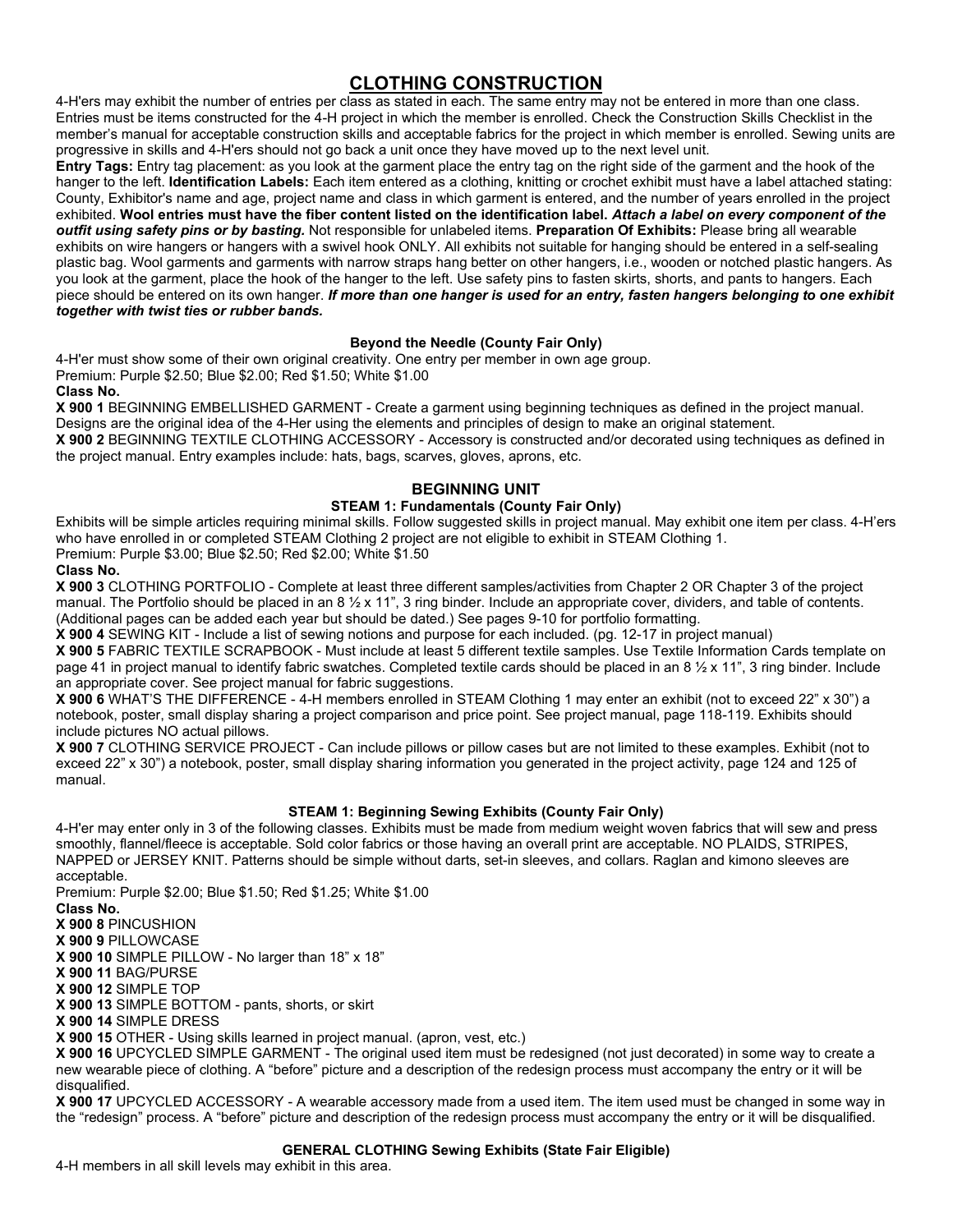# **CLOTHING CONSTRUCTION**

4-H'ers may exhibit the number of entries per class as stated in each. The same entry may not be entered in more than one class. Entries must be items constructed for the 4-H project in which the member is enrolled. Check the Construction Skills Checklist in the member's manual for acceptable construction skills and acceptable fabrics for the project in which member is enrolled. Sewing units are progressive in skills and 4-H'ers should not go back a unit once they have moved up to the next level unit.

**Entry Tags:** Entry tag placement: as you look at the garment place the entry tag on the right side of the garment and the hook of the hanger to the left. **Identification Labels:** Each item entered as a clothing, knitting or crochet exhibit must have a label attached stating: County, Exhibitor's name and age, project name and class in which garment is entered, and the number of years enrolled in the project exhibited. **Wool entries must have the fiber content listed on the identification label.** *Attach a label on every component of the outfit using safety pins or by basting.* Not responsible for unlabeled items. **Preparation Of Exhibits:** Please bring all wearable exhibits on wire hangers or hangers with a swivel hook ONLY. All exhibits not suitable for hanging should be entered in a self-sealing plastic bag. Wool garments and garments with narrow straps hang better on other hangers, i.e., wooden or notched plastic hangers. As you look at the garment, place the hook of the hanger to the left. Use safety pins to fasten skirts, shorts, and pants to hangers. Each piece should be entered on its own hanger. *If more than one hanger is used for an entry, fasten hangers belonging to one exhibit together with twist ties or rubber bands.* 

## **Beyond the Needle (County Fair Only)**

4-H'er must show some of their own original creativity. One entry per member in own age group. Premium: Purple \$2.50; Blue \$2.00; Red \$1.50; White \$1.00 **Class No.**

**X 900 1** BEGINNING EMBELLISHED GARMENT - Create a garment using beginning techniques as defined in the project manual. Designs are the original idea of the 4-Her using the elements and principles of design to make an original statement. **X 900 2** BEGINNING TEXTILE CLOTHING ACCESSORY - Accessory is constructed and/or decorated using techniques as defined in

the project manual. Entry examples include: hats, bags, scarves, gloves, aprons, etc.

## **BEGINNING UNIT**

## **STEAM 1: Fundamentals (County Fair Only)**

Exhibits will be simple articles requiring minimal skills. Follow suggested skills in project manual. May exhibit one item per class. 4-H'ers who have enrolled in or completed STEAM Clothing 2 project are not eligible to exhibit in STEAM Clothing 1. Premium: Purple \$3.00; Blue \$2.50; Red \$2.00; White \$1.50

**Class No.**

**X 900 3** CLOTHING PORTFOLIO - Complete at least three different samples/activities from Chapter 2 OR Chapter 3 of the project manual. The Portfolio should be placed in an 8 1/2 x 11", 3 ring binder. Include an appropriate cover, dividers, and table of contents. (Additional pages can be added each year but should be dated.) See pages 9-10 for portfolio formatting.

**X 900 4** SEWING KIT - Include a list of sewing notions and purpose for each included. (pg. 12-17 in project manual)

**X 900 5** FABRIC TEXTILE SCRAPBOOK - Must include at least 5 different textile samples. Use Textile Information Cards template on page 41 in project manual to identify fabric swatches. Completed textile cards should be placed in an 8 ½ x 11", 3 ring binder. Include an appropriate cover. See project manual for fabric suggestions.

**X 900 6** WHAT'S THE DIFFERENCE - 4-H members enrolled in STEAM Clothing 1 may enter an exhibit (not to exceed 22" x 30") a notebook, poster, small display sharing a project comparison and price point. See project manual, page 118-119. Exhibits should include pictures NO actual pillows.

**X 900 7** CLOTHING SERVICE PROJECT - Can include pillows or pillow cases but are not limited to these examples. Exhibit (not to exceed 22" x 30") a notebook, poster, small display sharing information you generated in the project activity, page 124 and 125 of manual.

## **STEAM 1: Beginning Sewing Exhibits (County Fair Only)**

4-H'er may enter only in 3 of the following classes. Exhibits must be made from medium weight woven fabrics that will sew and press smoothly, flannel/fleece is acceptable. Sold color fabrics or those having an overall print are acceptable. NO PLAIDS, STRIPES, NAPPED or JERSEY KNIT. Patterns should be simple without darts, set-in sleeves, and collars. Raglan and kimono sleeves are acceptable.

Premium: Purple \$2.00; Blue \$1.50; Red \$1.25; White \$1.00

**Class No.**

**X 900 8** PINCUSHION

**X 900 9** PILLOWCASE

**X 900 10** SIMPLE PILLOW - No larger than 18" x 18"

**X 900 11** BAG/PURSE

**X 900 12** SIMPLE TOP

**X 900 13** SIMPLE BOTTOM - pants, shorts, or skirt

**X 900 14** SIMPLE DRESS

**X 900 15** OTHER - Using skills learned in project manual. (apron, vest, etc.)

**X 900 16** UPCYCLED SIMPLE GARMENT - The original used item must be redesigned (not just decorated) in some way to create a new wearable piece of clothing. A "before" picture and a description of the redesign process must accompany the entry or it will be disqualified.

**X 900 17** UPCYCLED ACCESSORY - A wearable accessory made from a used item. The item used must be changed in some way in the "redesign" process. A "before" picture and description of the redesign process must accompany the entry or it will be disqualified.

#### **GENERAL CLOTHING Sewing Exhibits (State Fair Eligible)**

4-H members in all skill levels may exhibit in this area.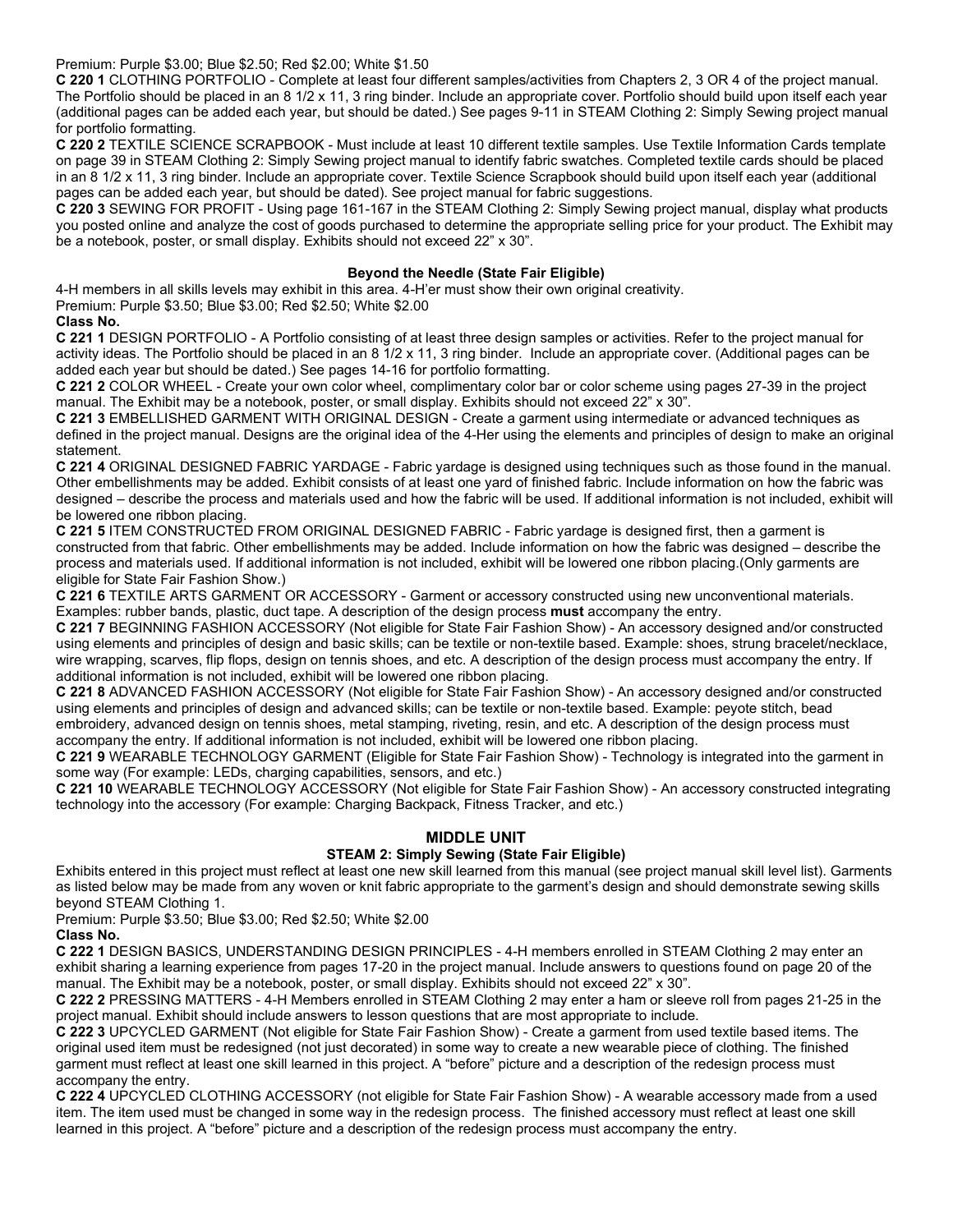Premium: Purple \$3.00; Blue \$2.50; Red \$2.00; White \$1.50

**C 220 1** CLOTHING PORTFOLIO - Complete at least four different samples/activities from Chapters 2, 3 OR 4 of the project manual. The Portfolio should be placed in an 8 1/2 x 11, 3 ring binder. Include an appropriate cover. Portfolio should build upon itself each year (additional pages can be added each year, but should be dated.) See pages 9-11 in STEAM Clothing 2: Simply Sewing project manual for portfolio formatting.

**C 220 2** TEXTILE SCIENCE SCRAPBOOK - Must include at least 10 different textile samples. Use Textile Information Cards template on page 39 in STEAM Clothing 2: Simply Sewing project manual to identify fabric swatches. Completed textile cards should be placed in an 8 1/2 x 11, 3 ring binder. Include an appropriate cover. Textile Science Scrapbook should build upon itself each year (additional pages can be added each year, but should be dated). See project manual for fabric suggestions.

**C 220 3** SEWING FOR PROFIT - Using page 161-167 in the STEAM Clothing 2: Simply Sewing project manual, display what products you posted online and analyze the cost of goods purchased to determine the appropriate selling price for your product. The Exhibit may be a notebook, poster, or small display. Exhibits should not exceed 22" x 30".

### **Beyond the Needle (State Fair Eligible)**

4-H members in all skills levels may exhibit in this area. 4-H'er must show their own original creativity.

Premium: Purple \$3.50; Blue \$3.00; Red \$2.50; White \$2.00

#### **Class No.**

**C 221 1** DESIGN PORTFOLIO - A Portfolio consisting of at least three design samples or activities. Refer to the project manual for activity ideas. The Portfolio should be placed in an 8 1/2 x 11, 3 ring binder. Include an appropriate cover. (Additional pages can be added each year but should be dated.) See pages 14-16 for portfolio formatting.

**C 221 2** COLOR WHEEL - Create your own color wheel, complimentary color bar or color scheme using pages 27-39 in the project manual. The Exhibit may be a notebook, poster, or small display. Exhibits should not exceed 22" x 30".

**C 221 3** EMBELLISHED GARMENT WITH ORIGINAL DESIGN - Create a garment using intermediate or advanced techniques as defined in the project manual. Designs are the original idea of the 4-Her using the elements and principles of design to make an original statement.

**C 221 4** ORIGINAL DESIGNED FABRIC YARDAGE - Fabric yardage is designed using techniques such as those found in the manual. Other embellishments may be added. Exhibit consists of at least one yard of finished fabric. Include information on how the fabric was designed – describe the process and materials used and how the fabric will be used. If additional information is not included, exhibit will be lowered one ribbon placing.

**C 221 5** ITEM CONSTRUCTED FROM ORIGINAL DESIGNED FABRIC - Fabric yardage is designed first, then a garment is constructed from that fabric. Other embellishments may be added. Include information on how the fabric was designed – describe the process and materials used. If additional information is not included, exhibit will be lowered one ribbon placing.(Only garments are eligible for State Fair Fashion Show.)

**C 221 6** TEXTILE ARTS GARMENT OR ACCESSORY - Garment or accessory constructed using new unconventional materials. Examples: rubber bands, plastic, duct tape. A description of the design process **must** accompany the entry.

**C 221 7** BEGINNING FASHION ACCESSORY (Not eligible for State Fair Fashion Show) - An accessory designed and/or constructed using elements and principles of design and basic skills; can be textile or non-textile based. Example: shoes, strung bracelet/necklace, wire wrapping, scarves, flip flops, design on tennis shoes, and etc. A description of the design process must accompany the entry. If additional information is not included, exhibit will be lowered one ribbon placing.

**C 221 8** ADVANCED FASHION ACCESSORY (Not eligible for State Fair Fashion Show) - An accessory designed and/or constructed using elements and principles of design and advanced skills; can be textile or non-textile based. Example: peyote stitch, bead embroidery, advanced design on tennis shoes, metal stamping, riveting, resin, and etc. A description of the design process must

accompany the entry. If additional information is not included, exhibit will be lowered one ribbon placing. **C 221 9** WEARABLE TECHNOLOGY GARMENT (Eligible for State Fair Fashion Show) - Technology is integrated into the garment in some way (For example: LEDs, charging capabilities, sensors, and etc.)

**C 221 10** WEARABLE TECHNOLOGY ACCESSORY (Not eligible for State Fair Fashion Show) - An accessory constructed integrating technology into the accessory (For example: Charging Backpack, Fitness Tracker, and etc.)

## **MIDDLE UNIT**

## **STEAM 2: Simply Sewing (State Fair Eligible)**

Exhibits entered in this project must reflect at least one new skill learned from this manual (see project manual skill level list). Garments as listed below may be made from any woven or knit fabric appropriate to the garment's design and should demonstrate sewing skills beyond STEAM Clothing 1.

Premium: Purple \$3.50; Blue \$3.00; Red \$2.50; White \$2.00

## **Class No.**

**C 222 1** DESIGN BASICS, UNDERSTANDING DESIGN PRINCIPLES - 4-H members enrolled in STEAM Clothing 2 may enter an exhibit sharing a learning experience from pages 17-20 in the project manual. Include answers to questions found on page 20 of the manual. The Exhibit may be a notebook, poster, or small display. Exhibits should not exceed 22" x 30".

**C 222 2** PRESSING MATTERS - 4-H Members enrolled in STEAM Clothing 2 may enter a ham or sleeve roll from pages 21-25 in the project manual. Exhibit should include answers to lesson questions that are most appropriate to include.

**C 222 3** UPCYCLED GARMENT (Not eligible for State Fair Fashion Show) - Create a garment from used textile based items. The original used item must be redesigned (not just decorated) in some way to create a new wearable piece of clothing. The finished garment must reflect at least one skill learned in this project. A "before" picture and a description of the redesign process must accompany the entry.

**C 222 4** UPCYCLED CLOTHING ACCESSORY (not eligible for State Fair Fashion Show) - A wearable accessory made from a used item. The item used must be changed in some way in the redesign process. The finished accessory must reflect at least one skill learned in this project. A "before" picture and a description of the redesign process must accompany the entry.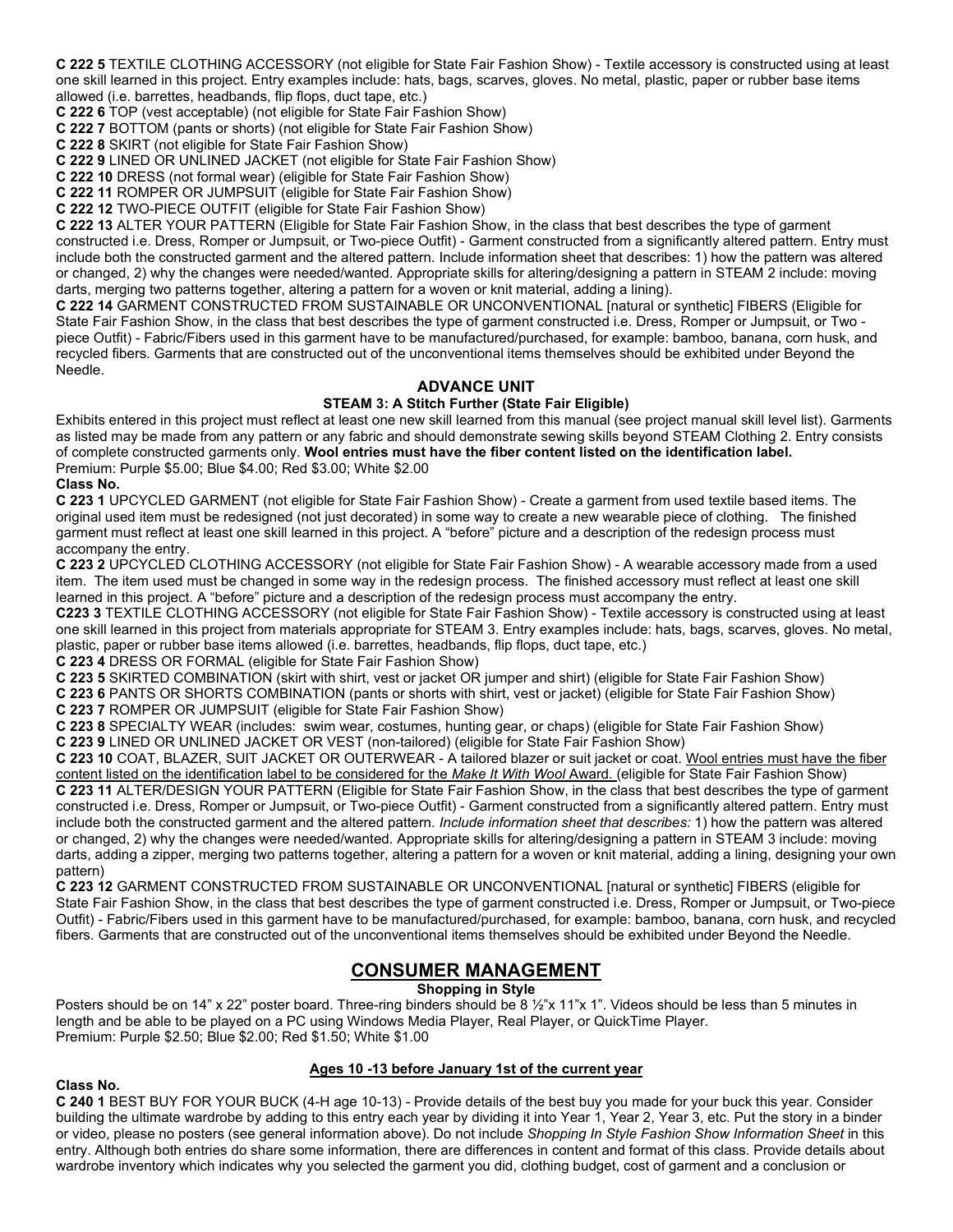**C 222 5** TEXTILE CLOTHING ACCESSORY (not eligible for State Fair Fashion Show) - Textile accessory is constructed using at least one skill learned in this project. Entry examples include: hats, bags, scarves, gloves. No metal, plastic, paper or rubber base items allowed (i.e. barrettes, headbands, flip flops, duct tape, etc.)

**C 222 6** TOP (vest acceptable) (not eligible for State Fair Fashion Show)

**C 222 7** BOTTOM (pants or shorts) (not eligible for State Fair Fashion Show)

**C 222 8** SKIRT (not eligible for State Fair Fashion Show)

**C 222 9** LINED OR UNLINED JACKET (not eligible for State Fair Fashion Show)

**C 222 10** DRESS (not formal wear) (eligible for State Fair Fashion Show)

**C 222 11** ROMPER OR JUMPSUIT (eligible for State Fair Fashion Show)

**C 222 12** TWO-PIECE OUTFIT (eligible for State Fair Fashion Show)

**C 222 13** ALTER YOUR PATTERN (Eligible for State Fair Fashion Show, in the class that best describes the type of garment constructed i.e. Dress, Romper or Jumpsuit, or Two-piece Outfit) - Garment constructed from a significantly altered pattern. Entry must include both the constructed garment and the altered pattern. Include information sheet that describes: 1) how the pattern was altered or changed, 2) why the changes were needed/wanted. Appropriate skills for altering/designing a pattern in STEAM 2 include: moving darts, merging two patterns together, altering a pattern for a woven or knit material, adding a lining).

**C 222 14** GARMENT CONSTRUCTED FROM SUSTAINABLE OR UNCONVENTIONAL [natural or synthetic] FIBERS (Eligible for State Fair Fashion Show, in the class that best describes the type of garment constructed i.e. Dress, Romper or Jumpsuit, or Two piece Outfit) - Fabric/Fibers used in this garment have to be manufactured/purchased, for example: bamboo, banana, corn husk, and recycled fibers. Garments that are constructed out of the unconventional items themselves should be exhibited under Beyond the Needle.

#### **ADVANCE UNIT**

#### **STEAM 3: A Stitch Further (State Fair Eligible)**

Exhibits entered in this project must reflect at least one new skill learned from this manual (see project manual skill level list). Garments as listed may be made from any pattern or any fabric and should demonstrate sewing skills beyond STEAM Clothing 2. Entry consists of complete constructed garments only. **Wool entries must have the fiber content listed on the identification label.** Premium: Purple \$5.00; Blue \$4.00; Red \$3.00; White \$2.00

#### **Class No.**

**C 223 1** UPCYCLED GARMENT (not eligible for State Fair Fashion Show) - Create a garment from used textile based items. The original used item must be redesigned (not just decorated) in some way to create a new wearable piece of clothing. The finished garment must reflect at least one skill learned in this project. A "before" picture and a description of the redesign process must accompany the entry.

**C 223 2** UPCYCLED CLOTHING ACCESSORY (not eligible for State Fair Fashion Show) - A wearable accessory made from a used item. The item used must be changed in some way in the redesign process. The finished accessory must reflect at least one skill learned in this project. A "before" picture and a description of the redesign process must accompany the entry.

**C223 3** TEXTILE CLOTHING ACCESSORY (not eligible for State Fair Fashion Show) - Textile accessory is constructed using at least one skill learned in this project from materials appropriate for STEAM 3. Entry examples include: hats, bags, scarves, gloves. No metal, plastic, paper or rubber base items allowed (i.e. barrettes, headbands, flip flops, duct tape, etc.)

**C 223 4** DRESS OR FORMAL (eligible for State Fair Fashion Show)

**C 223 5** SKIRTED COMBINATION (skirt with shirt, vest or jacket OR jumper and shirt) (eligible for State Fair Fashion Show)

**C 223 6** PANTS OR SHORTS COMBINATION (pants or shorts with shirt, vest or jacket) (eligible for State Fair Fashion Show)

**C 223 7** ROMPER OR JUMPSUIT (eligible for State Fair Fashion Show)

**C 223 8** SPECIALTY WEAR (includes: swim wear, costumes, hunting gear, or chaps) (eligible for State Fair Fashion Show) **C 223 9** LINED OR UNLINED JACKET OR VEST (non-tailored) (eligible for State Fair Fashion Show)

**C 223 10** COAT, BLAZER, SUIT JACKET OR OUTERWEAR - A tailored blazer or suit jacket or coat. Wool entries must have the fiber content listed on the identification label to be considered for the *Make It With Wool* Award. (eligible for State Fair Fashion Show) **C 223 11** ALTER/DESIGN YOUR PATTERN (Eligible for State Fair Fashion Show, in the class that best describes the type of garment constructed i.e. Dress, Romper or Jumpsuit, or Two-piece Outfit) - Garment constructed from a significantly altered pattern. Entry must include both the constructed garment and the altered pattern. *Include information sheet that describes:* 1) how the pattern was altered or changed, 2) why the changes were needed/wanted. Appropriate skills for altering/designing a pattern in STEAM 3 include: moving darts, adding a zipper, merging two patterns together, altering a pattern for a woven or knit material, adding a lining, designing your own pattern)

**C 223 12** GARMENT CONSTRUCTED FROM SUSTAINABLE OR UNCONVENTIONAL [natural or synthetic] FIBERS (eligible for State Fair Fashion Show, in the class that best describes the type of garment constructed i.e. Dress, Romper or Jumpsuit, or Two-piece Outfit) - Fabric/Fibers used in this garment have to be manufactured/purchased, for example: bamboo, banana, corn husk, and recycled fibers. Garments that are constructed out of the unconventional items themselves should be exhibited under Beyond the Needle.

## **CONSUMER MANAGEMENT**

**Shopping in Style** 

Posters should be on 14" x 22" poster board. Three-ring binders should be 8 ½"x 11"x 1". Videos should be less than 5 minutes in length and be able to be played on a PC using Windows Media Player, Real Player, or QuickTime Player. Premium: Purple \$2.50; Blue \$2.00; Red \$1.50; White \$1.00

#### **Ages 10 -13 before January 1st of the current year**

#### **Class No.**

**C 240 1** BEST BUY FOR YOUR BUCK (4-H age 10-13) - Provide details of the best buy you made for your buck this year. Consider building the ultimate wardrobe by adding to this entry each year by dividing it into Year 1, Year 2, Year 3, etc. Put the story in a binder or video, please no posters (see general information above). Do not include *Shopping In Style Fashion Show Information Sheet* in this entry. Although both entries do share some information, there are differences in content and format of this class. Provide details about wardrobe inventory which indicates why you selected the garment you did, clothing budget, cost of garment and a conclusion or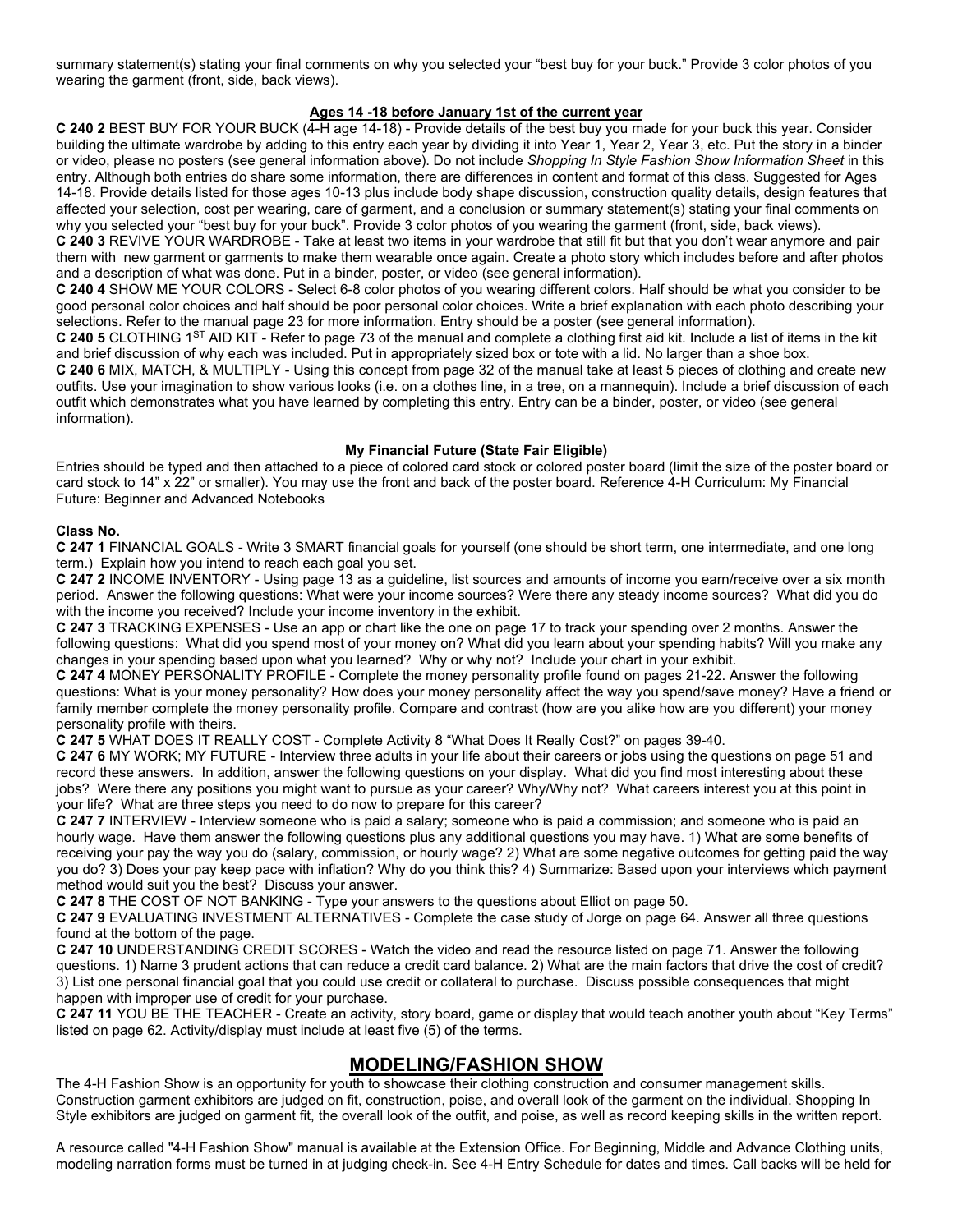summary statement(s) stating your final comments on why you selected your "best buy for your buck." Provide 3 color photos of you wearing the garment (front, side, back views).

## **Ages 14 -18 before January 1st of the current year**

**C 240 2** BEST BUY FOR YOUR BUCK (4-H age 14-18) - Provide details of the best buy you made for your buck this year. Consider building the ultimate wardrobe by adding to this entry each year by dividing it into Year 1, Year 2, Year 3, etc. Put the story in a binder or video, please no posters (see general information above). Do not include *Shopping In Style Fashion Show Information Sheet* in this entry. Although both entries do share some information, there are differences in content and format of this class. Suggested for Ages 14-18. Provide details listed for those ages 10-13 plus include body shape discussion, construction quality details, design features that affected your selection, cost per wearing, care of garment, and a conclusion or summary statement(s) stating your final comments on why you selected your "best buy for your buck". Provide 3 color photos of you wearing the garment (front, side, back views).

**C 240 3** REVIVE YOUR WARDROBE - Take at least two items in your wardrobe that still fit but that you don't wear anymore and pair them with new garment or garments to make them wearable once again. Create a photo story which includes before and after photos and a description of what was done. Put in a binder, poster, or video (see general information).

**C 240 4** SHOW ME YOUR COLORS - Select 6-8 color photos of you wearing different colors. Half should be what you consider to be good personal color choices and half should be poor personal color choices. Write a brief explanation with each photo describing your selections. Refer to the manual page 23 for more information. Entry should be a poster (see general information).

**C 240 5** CLOTHING 1ST AID KIT - Refer to page 73 of the manual and complete a clothing first aid kit. Include a list of items in the kit and brief discussion of why each was included. Put in appropriately sized box or tote with a lid. No larger than a shoe box.

**C 240 6** MIX, MATCH, & MULTIPLY - Using this concept from page 32 of the manual take at least 5 pieces of clothing and create new outfits. Use your imagination to show various looks (i.e. on a clothes line, in a tree, on a mannequin). Include a brief discussion of each outfit which demonstrates what you have learned by completing this entry. Entry can be a binder, poster, or video (see general information).

#### **My Financial Future (State Fair Eligible)**

Entries should be typed and then attached to a piece of colored card stock or colored poster board (limit the size of the poster board or card stock to 14" x 22" or smaller). You may use the front and back of the poster board. Reference 4-H Curriculum: My Financial Future: Beginner and Advanced Notebooks

#### **Class No.**

**C 247 1** FINANCIAL GOALS - Write 3 SMART financial goals for yourself (one should be short term, one intermediate, and one long term.) Explain how you intend to reach each goal you set.

**C 247 2** INCOME INVENTORY - Using page 13 as a guideline, list sources and amounts of income you earn/receive over a six month period. Answer the following questions: What were your income sources? Were there any steady income sources? What did you do with the income you received? Include your income inventory in the exhibit.

**C 247 3** TRACKING EXPENSES - Use an app or chart like the one on page 17 to track your spending over 2 months. Answer the following questions: What did you spend most of your money on? What did you learn about your spending habits? Will you make any changes in your spending based upon what you learned? Why or why not? Include your chart in your exhibit.

**C 247 4** MONEY PERSONALITY PROFILE - Complete the money personality profile found on pages 21-22. Answer the following questions: What is your money personality? How does your money personality affect the way you spend/save money? Have a friend or family member complete the money personality profile. Compare and contrast (how are you alike how are you different) your money personality profile with theirs.

**C 247 5** WHAT DOES IT REALLY COST - Complete Activity 8 "What Does It Really Cost?" on pages 39-40.

**C 247 6** MY WORK; MY FUTURE - Interview three adults in your life about their careers or jobs using the questions on page 51 and record these answers. In addition, answer the following questions on your display. What did you find most interesting about these jobs? Were there any positions you might want to pursue as your career? Why/Why not? What careers interest you at this point in your life? What are three steps you need to do now to prepare for this career?

**C 247 7** INTERVIEW - Interview someone who is paid a salary; someone who is paid a commission; and someone who is paid an hourly wage. Have them answer the following questions plus any additional questions you may have. 1) What are some benefits of receiving your pay the way you do (salary, commission, or hourly wage? 2) What are some negative outcomes for getting paid the way you do? 3) Does your pay keep pace with inflation? Why do you think this? 4) Summarize: Based upon your interviews which payment method would suit you the best? Discuss your answer.

**C 247 8** THE COST OF NOT BANKING - Type your answers to the questions about Elliot on page 50.

**C 247 9** EVALUATING INVESTMENT ALTERNATIVES - Complete the case study of Jorge on page 64. Answer all three questions found at the bottom of the page.

**C 247 10** UNDERSTANDING CREDIT SCORES - Watch the video and read the resource listed on page 71. Answer the following questions. 1) Name 3 prudent actions that can reduce a credit card balance. 2) What are the main factors that drive the cost of credit? 3) List one personal financial goal that you could use credit or collateral to purchase. Discuss possible consequences that might happen with improper use of credit for your purchase.

**C 247 11** YOU BE THE TEACHER - Create an activity, story board, game or display that would teach another youth about "Key Terms" listed on page 62. Activity/display must include at least five (5) of the terms.

## **MODELING/FASHION SHOW**

The 4-H Fashion Show is an opportunity for youth to showcase their clothing construction and consumer management skills. Construction garment exhibitors are judged on fit, construction, poise, and overall look of the garment on the individual. Shopping In Style exhibitors are judged on garment fit, the overall look of the outfit, and poise, as well as record keeping skills in the written report.

A resource called "4-H Fashion Show" manual is available at the Extension Office. For Beginning, Middle and Advance Clothing units, modeling narration forms must be turned in at judging check-in. See 4-H Entry Schedule for dates and times. Call backs will be held for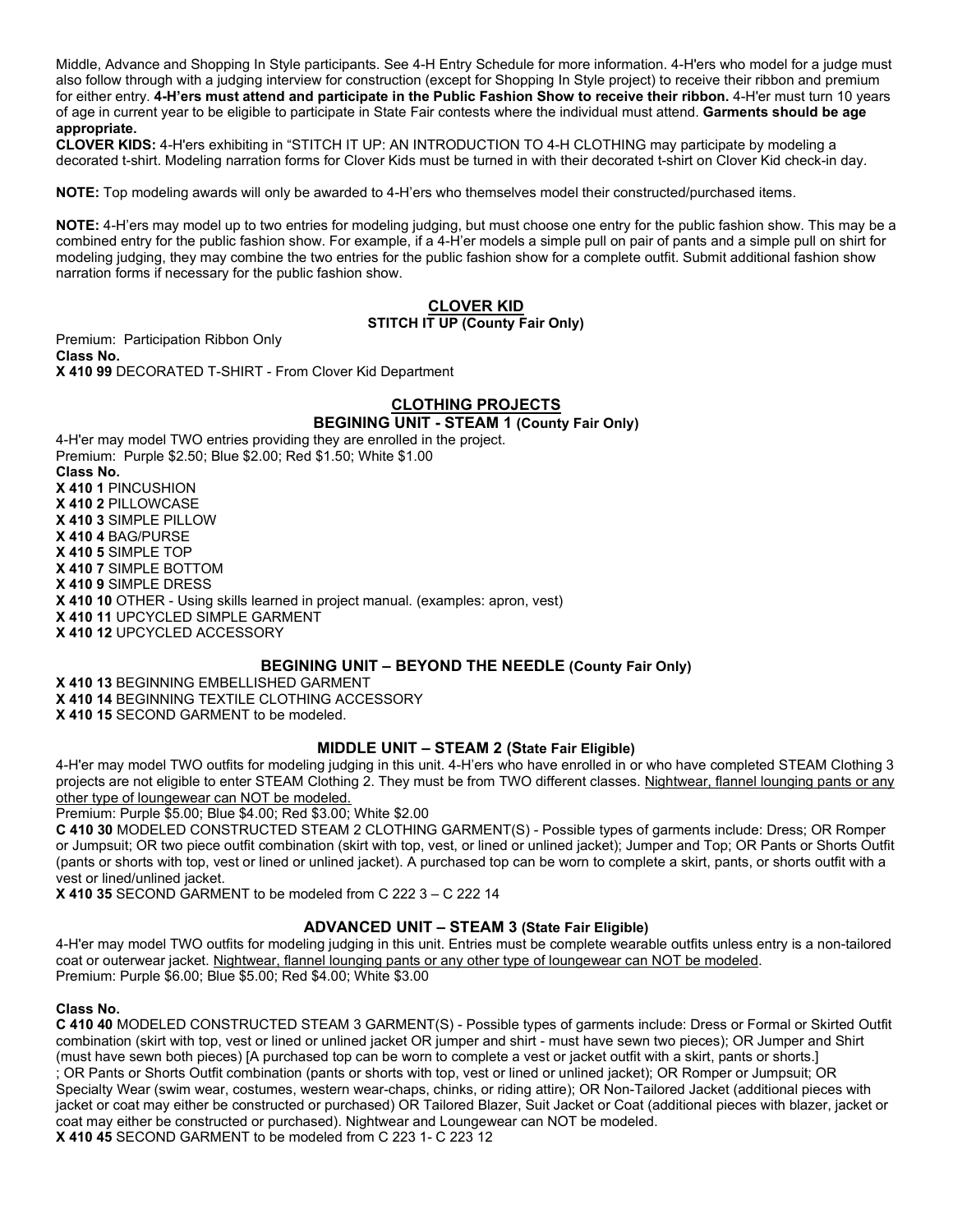Middle, Advance and Shopping In Style participants. See 4-H Entry Schedule for more information. 4-H'ers who model for a judge must also follow through with a judging interview for construction (except for Shopping In Style project) to receive their ribbon and premium for either entry. **4-H'ers must attend and participate in the Public Fashion Show to receive their ribbon.** 4-H'er must turn 10 years of age in current year to be eligible to participate in State Fair contests where the individual must attend. **Garments should be age appropriate.**

**CLOVER KIDS:** 4-H'ers exhibiting in "STITCH IT UP: AN INTRODUCTION TO 4-H CLOTHING may participate by modeling a decorated t-shirt. Modeling narration forms for Clover Kids must be turned in with their decorated t-shirt on Clover Kid check-in day.

**NOTE:** Top modeling awards will only be awarded to 4-H'ers who themselves model their constructed/purchased items.

**NOTE:** 4-H'ers may model up to two entries for modeling judging, but must choose one entry for the public fashion show. This may be a combined entry for the public fashion show. For example, if a 4-H'er models a simple pull on pair of pants and a simple pull on shirt for modeling judging, they may combine the two entries for the public fashion show for a complete outfit. Submit additional fashion show narration forms if necessary for the public fashion show.

#### **CLOVER KID STITCH IT UP (County Fair Only)**

Premium: Participation Ribbon Only **Class No. X 410 99** DECORATED T-SHIRT - From Clover Kid Department

# **CLOTHING PROJECTS**

**BEGINING UNIT - STEAM 1 (County Fair Only)**

4-H'er may model TWO entries providing they are enrolled in the project. Premium: Purple \$2.50; Blue \$2.00; Red \$1.50; White \$1.00 **Class No. X 410 1** PINCUSHION **X 410 2** PILLOWCASE **X 410 3** SIMPLE PILLOW **X 410 4** BAG/PURSE **X 410 5** SIMPLE TOP **X 410 7** SIMPLE BOTTOM **X 410 9** SIMPLE DRESS **X 410 10** OTHER - Using skills learned in project manual. (examples: apron, vest) **X 410 11** UPCYCLED SIMPLE GARMENT **X 410 12** UPCYCLED ACCESSORY

## **BEGINING UNIT – BEYOND THE NEEDLE (County Fair Only)**

**X 410 13** BEGINNING EMBELLISHED GARMENT

**X 410 14** BEGINNING TEXTILE CLOTHING ACCESSORY

**X 410 15** SECOND GARMENT to be modeled.

## **MIDDLE UNIT – STEAM 2 (State Fair Eligible)**

4-H'er may model TWO outfits for modeling judging in this unit. 4-H'ers who have enrolled in or who have completed STEAM Clothing 3 projects are not eligible to enter STEAM Clothing 2. They must be from TWO different classes. Nightwear, flannel lounging pants or any other type of loungewear can NOT be modeled.

Premium: Purple \$5.00; Blue \$4.00; Red \$3.00; White \$2.00

**C 410 30** MODELED CONSTRUCTED STEAM 2 CLOTHING GARMENT(S) - Possible types of garments include: Dress; OR Romper or Jumpsuit; OR two piece outfit combination (skirt with top, vest, or lined or unlined jacket); Jumper and Top; OR Pants or Shorts Outfit (pants or shorts with top, vest or lined or unlined jacket). A purchased top can be worn to complete a skirt, pants, or shorts outfit with a vest or lined/unlined jacket.

**X 410 35** SECOND GARMENT to be modeled from C 222 3 – C 222 14

## **ADVANCED UNIT – STEAM 3 (State Fair Eligible)**

4-H'er may model TWO outfits for modeling judging in this unit. Entries must be complete wearable outfits unless entry is a non-tailored coat or outerwear jacket. Nightwear, flannel lounging pants or any other type of loungewear can NOT be modeled. Premium: Purple \$6.00; Blue \$5.00; Red \$4.00; White \$3.00

## **Class No.**

**C 410 40** MODELED CONSTRUCTED STEAM 3 GARMENT(S) - Possible types of garments include: Dress or Formal or Skirted Outfit combination (skirt with top, vest or lined or unlined jacket OR jumper and shirt - must have sewn two pieces); OR Jumper and Shirt (must have sewn both pieces) [A purchased top can be worn to complete a vest or jacket outfit with a skirt, pants or shorts.] ; OR Pants or Shorts Outfit combination (pants or shorts with top, vest or lined or unlined jacket); OR Romper or Jumpsuit; OR Specialty Wear (swim wear, costumes, western wear-chaps, chinks, or riding attire); OR Non-Tailored Jacket (additional pieces with jacket or coat may either be constructed or purchased) OR Tailored Blazer, Suit Jacket or Coat (additional pieces with blazer, jacket or coat may either be constructed or purchased). Nightwear and Loungewear can NOT be modeled. **X 410 45** SECOND GARMENT to be modeled from C 223 1- C 223 12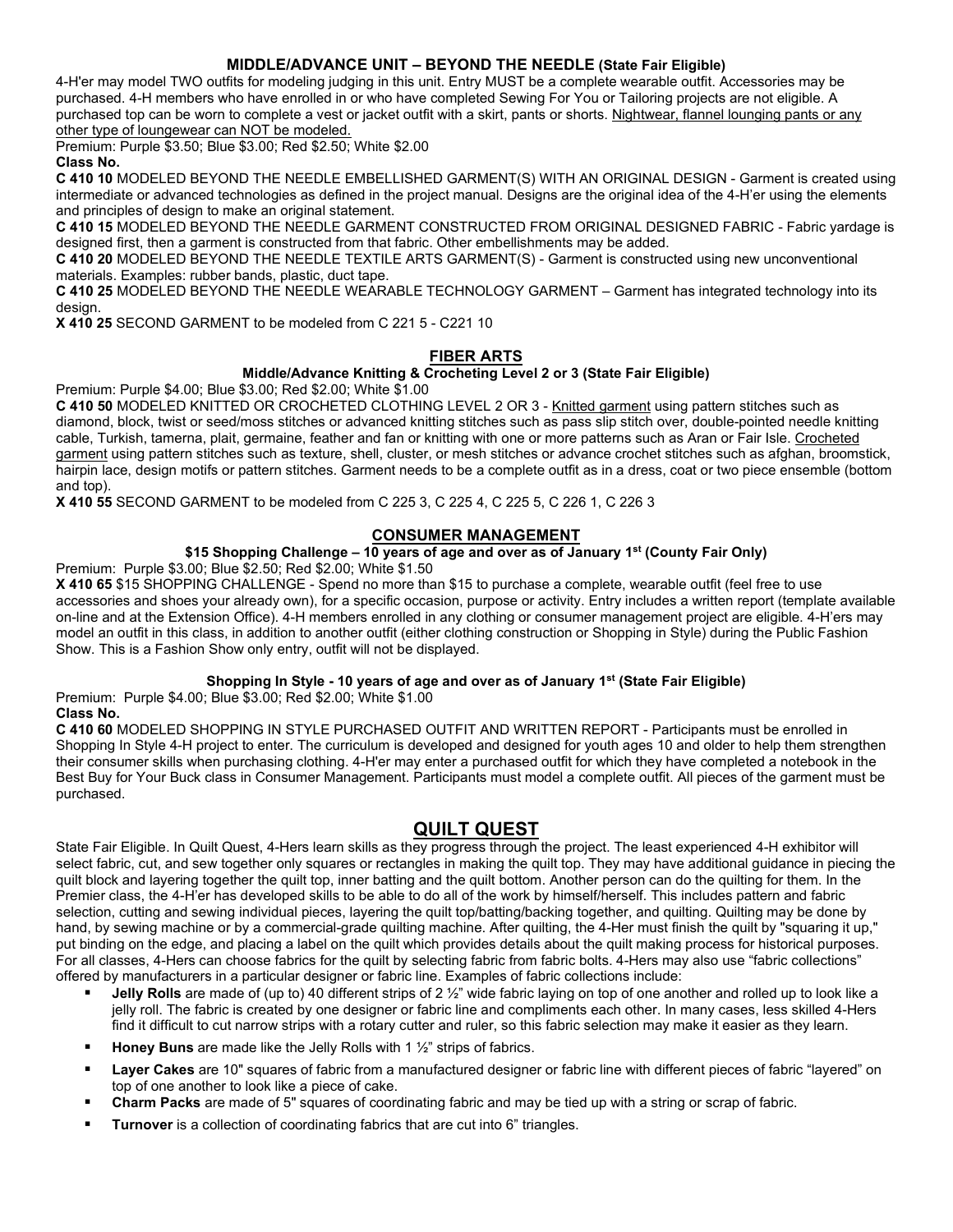## **MIDDLE/ADVANCE UNIT – BEYOND THE NEEDLE (State Fair Eligible)**

4-H'er may model TWO outfits for modeling judging in this unit. Entry MUST be a complete wearable outfit. Accessories may be purchased. 4-H members who have enrolled in or who have completed Sewing For You or Tailoring projects are not eligible. A purchased top can be worn to complete a vest or jacket outfit with a skirt, pants or shorts. Nightwear, flannel lounging pants or any other type of loungewear can NOT be modeled.

Premium: Purple \$3.50; Blue \$3.00; Red \$2.50; White \$2.00

**Class No.**

**C 410 10** MODELED BEYOND THE NEEDLE EMBELLISHED GARMENT(S) WITH AN ORIGINAL DESIGN - Garment is created using intermediate or advanced technologies as defined in the project manual. Designs are the original idea of the 4-H'er using the elements and principles of design to make an original statement.

**C 410 15** MODELED BEYOND THE NEEDLE GARMENT CONSTRUCTED FROM ORIGINAL DESIGNED FABRIC - Fabric yardage is designed first, then a garment is constructed from that fabric. Other embellishments may be added.

**C 410 20** MODELED BEYOND THE NEEDLE TEXTILE ARTS GARMENT(S) - Garment is constructed using new unconventional materials. Examples: rubber bands, plastic, duct tape.

**C 410 25** MODELED BEYOND THE NEEDLE WEARABLE TECHNOLOGY GARMENT – Garment has integrated technology into its design.

**X 410 25** SECOND GARMENT to be modeled from C 221 5 - C221 10

## **FIBER ARTS**

#### **Middle/Advance Knitting & Crocheting Level 2 or 3 (State Fair Eligible)**

Premium: Purple \$4.00; Blue \$3.00; Red \$2.00; White \$1.00

**C 410 50** MODELED KNITTED OR CROCHETED CLOTHING LEVEL 2 OR 3 - Knitted garment using pattern stitches such as diamond, block, twist or seed/moss stitches or advanced knitting stitches such as pass slip stitch over, double-pointed needle knitting cable, Turkish, tamerna, plait, germaine, feather and fan or knitting with one or more patterns such as Aran or Fair Isle. Crocheted garment using pattern stitches such as texture, shell, cluster, or mesh stitches or advance crochet stitches such as afghan, broomstick, hairpin lace, design motifs or pattern stitches. Garment needs to be a complete outfit as in a dress, coat or two piece ensemble (bottom and top).

**X 410 55** SECOND GARMENT to be modeled from C 225 3, C 225 4, C 225 5, C 226 1, C 226 3

## **CONSUMER MANAGEMENT**

## **\$15 Shopping Challenge – 10 years of age and over as of January 1st (County Fair Only)**

Premium: Purple \$3.00; Blue \$2.50; Red \$2.00; White \$1.50

**X 410 65** \$15 SHOPPING CHALLENGE - Spend no more than \$15 to purchase a complete, wearable outfit (feel free to use accessories and shoes your already own), for a specific occasion, purpose or activity. Entry includes a written report (template available on-line and at the Extension Office). 4-H members enrolled in any clothing or consumer management project are eligible. 4-H'ers may model an outfit in this class, in addition to another outfit (either clothing construction or Shopping in Style) during the Public Fashion Show. This is a Fashion Show only entry, outfit will not be displayed.

## **Shopping In Style - 10 years of age and over as of January 1st (State Fair Eligible)**

Premium: Purple \$4.00; Blue \$3.00; Red \$2.00; White \$1.00 **Class No.**

**C 410 60** MODELED SHOPPING IN STYLE PURCHASED OUTFIT AND WRITTEN REPORT - Participants must be enrolled in Shopping In Style 4-H project to enter. The curriculum is developed and designed for youth ages 10 and older to help them strengthen their consumer skills when purchasing clothing. 4-H'er may enter a purchased outfit for which they have completed a notebook in the Best Buy for Your Buck class in Consumer Management. Participants must model a complete outfit. All pieces of the garment must be purchased.

# **QUILT QUEST**

State Fair Eligible. In Quilt Quest, 4-Hers learn skills as they progress through the project. The least experienced 4-H exhibitor will select fabric, cut, and sew together only squares or rectangles in making the quilt top. They may have additional guidance in piecing the quilt block and layering together the quilt top, inner batting and the quilt bottom. Another person can do the quilting for them. In the Premier class, the 4-H'er has developed skills to be able to do all of the work by himself/herself. This includes pattern and fabric selection, cutting and sewing individual pieces, layering the quilt top/batting/backing together, and quilting. Quilting may be done by hand, by sewing machine or by a commercial-grade quilting machine. After quilting, the 4-Her must finish the quilt by "squaring it up," put binding on the edge, and placing a label on the quilt which provides details about the quilt making process for historical purposes. For all classes, 4-Hers can choose fabrics for the quilt by selecting fabric from fabric bolts. 4-Hers may also use "fabric collections" offered by manufacturers in a particular designer or fabric line. Examples of fabric collections include:

- **Jelly Rolls** are made of (up to) 40 different strips of 2 ½" wide fabric laying on top of one another and rolled up to look like a jelly roll. The fabric is created by one designer or fabric line and compliments each other. In many cases, less skilled 4-Hers find it difficult to cut narrow strips with a rotary cutter and ruler, so this fabric selection may make it easier as they learn.
- **Honey Buns** are made like the Jelly Rolls with 1 ½" strips of fabrics.
- **Layer Cakes** are 10" squares of fabric from a manufactured designer or fabric line with different pieces of fabric "layered" on top of one another to look like a piece of cake.
- **Charm Packs** are made of 5" squares of coordinating fabric and may be tied up with a string or scrap of fabric.
- **Turnover** is a collection of coordinating fabrics that are cut into 6" triangles.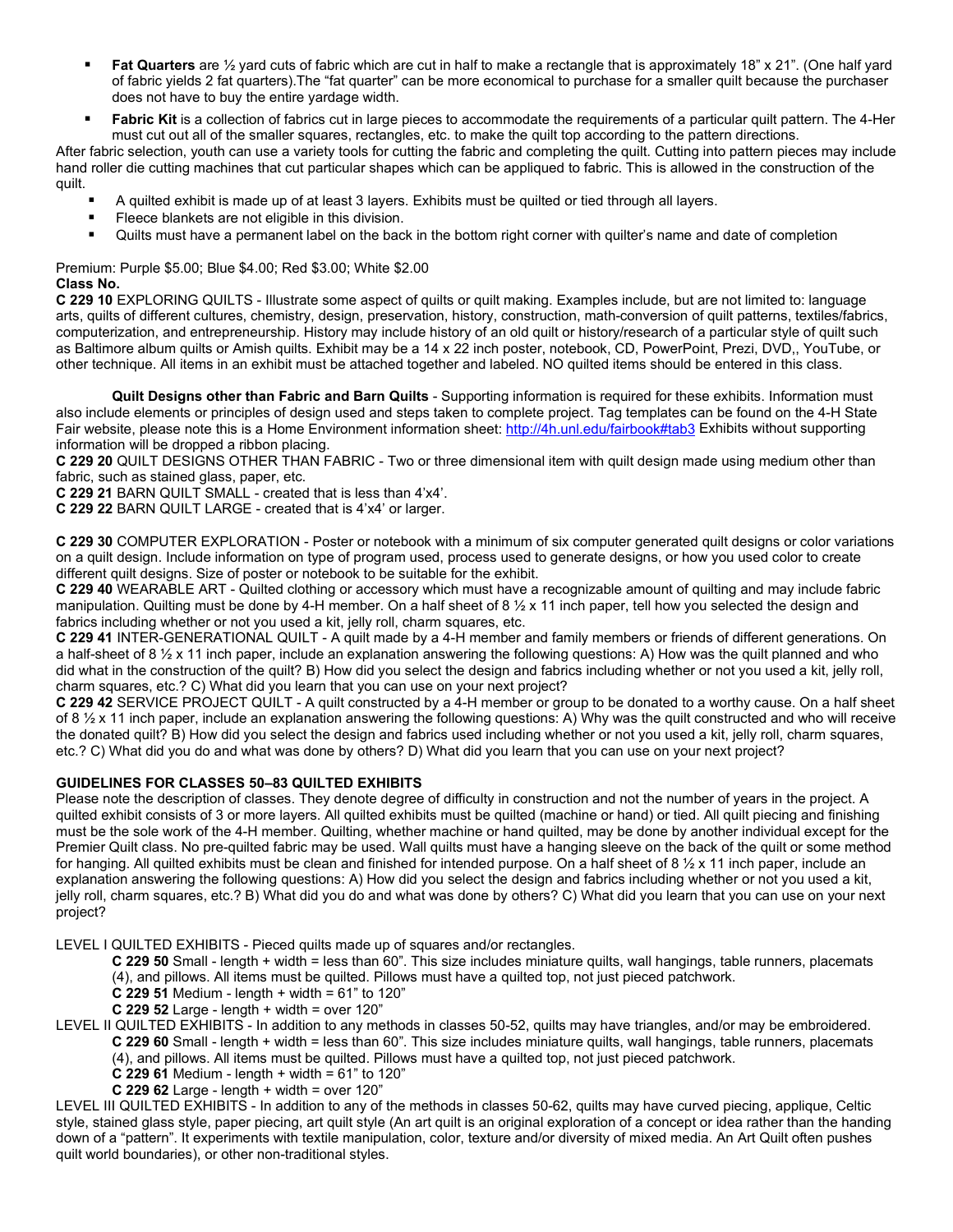- **Fat Quarters** are  $\frac{1}{2}$  yard cuts of fabric which are cut in half to make a rectangle that is approximately 18" x 21". (One half yard of fabric yields 2 fat quarters).The "fat quarter" can be more economical to purchase for a smaller quilt because the purchaser does not have to buy the entire yardage width.
- **Fabric Kit** is a collection of fabrics cut in large pieces to accommodate the requirements of a particular quilt pattern. The 4-Her must cut out all of the smaller squares, rectangles, etc. to make the quilt top according to the pattern directions.

After fabric selection, youth can use a variety tools for cutting the fabric and completing the quilt. Cutting into pattern pieces may include hand roller die cutting machines that cut particular shapes which can be appliqued to fabric. This is allowed in the construction of the quilt.

- A quilted exhibit is made up of at least 3 layers. Exhibits must be quilted or tied through all layers.
- **Fileece blankets are not eligible in this division.**
- Quilts must have a permanent label on the back in the bottom right corner with quilter's name and date of completion

Premium: Purple \$5.00; Blue \$4.00; Red \$3.00; White \$2.00 **Class No.**

**C 229 10** EXPLORING QUILTS - Illustrate some aspect of quilts or quilt making. Examples include, but are not limited to: language arts, quilts of different cultures, chemistry, design, preservation, history, construction, math-conversion of quilt patterns, textiles/fabrics, computerization, and entrepreneurship. History may include history of an old quilt or history/research of a particular style of quilt such as Baltimore album quilts or Amish quilts. Exhibit may be a 14 x 22 inch poster, notebook, CD, PowerPoint, Prezi, DVD,, YouTube, or other technique. All items in an exhibit must be attached together and labeled. NO quilted items should be entered in this class.

**Quilt Designs other than Fabric and Barn Quilts** - Supporting information is required for these exhibits. Information must also include elements or principles of design used and steps taken to complete project. Tag templates can be found on the 4-H State Fair website, please note this is a Home Environment information sheet:<http://4h.unl.edu/fairbook#tab3> Exhibits without supporting information will be dropped a ribbon placing.

**C 229 20** QUILT DESIGNS OTHER THAN FABRIC - Two or three dimensional item with quilt design made using medium other than fabric, such as stained glass, paper, etc.

**C 229 21** BARN QUILT SMALL - created that is less than 4'x4'.

**C 229 22** BARN QUILT LARGE - created that is 4'x4' or larger.

**C 229 30** COMPUTER EXPLORATION - Poster or notebook with a minimum of six computer generated quilt designs or color variations on a quilt design. Include information on type of program used, process used to generate designs, or how you used color to create different quilt designs. Size of poster or notebook to be suitable for the exhibit.

**C 229 40** WEARABLE ART - Quilted clothing or accessory which must have a recognizable amount of quilting and may include fabric manipulation. Quilting must be done by 4-H member. On a half sheet of 8  $\frac{1}{2}$  x 11 inch paper, tell how you selected the design and fabrics including whether or not you used a kit, jelly roll, charm squares, etc.

**C 229 41** INTER-GENERATIONAL QUILT - A quilt made by a 4-H member and family members or friends of different generations. On a half-sheet of 8  $\frac{1}{2}$  x 11 inch paper, include an explanation answering the following questions: A) How was the quilt planned and who did what in the construction of the quilt? B) How did you select the design and fabrics including whether or not you used a kit, jelly roll, charm squares, etc.? C) What did you learn that you can use on your next project?

**C 229 42** SERVICE PROJECT QUILT - A quilt constructed by a 4-H member or group to be donated to a worthy cause. On a half sheet of 8  $\frac{1}{2}$  x 11 inch paper, include an explanation answering the following questions: A) Why was the quilt constructed and who will receive the donated quilt? B) How did you select the design and fabrics used including whether or not you used a kit, jelly roll, charm squares, etc.? C) What did you do and what was done by others? D) What did you learn that you can use on your next project?

#### **GUIDELINES FOR CLASSES 50–83 QUILTED EXHIBITS**

Please note the description of classes. They denote degree of difficulty in construction and not the number of years in the project. A quilted exhibit consists of 3 or more layers. All quilted exhibits must be quilted (machine or hand) or tied. All quilt piecing and finishing must be the sole work of the 4-H member. Quilting, whether machine or hand quilted, may be done by another individual except for the Premier Quilt class. No pre-quilted fabric may be used. Wall quilts must have a hanging sleeve on the back of the quilt or some method for hanging. All quilted exhibits must be clean and finished for intended purpose. On a half sheet of 8  $\frac{1}{2}x$  11 inch paper, include an explanation answering the following questions: A) How did you select the design and fabrics including whether or not you used a kit, jelly roll, charm squares, etc.? B) What did you do and what was done by others? C) What did you learn that you can use on your next project?

LEVEL I QUILTED EXHIBITS - Pieced quilts made up of squares and/or rectangles.

- **C 229 50** Small length + width = less than 60". This size includes miniature quilts, wall hangings, table runners, placemats (4), and pillows. All items must be quilted. Pillows must have a quilted top, not just pieced patchwork.
- **C 229 51** Medium length + width = 61" to 120"
- **C 229 52** Large length + width = over 120"
- LEVEL II QUILTED EXHIBITS In addition to any methods in classes 50-52, quilts may have triangles, and/or may be embroidered. **C 229 60** Small - length + width = less than 60". This size includes miniature quilts, wall hangings, table runners, placemats
	- (4), and pillows. All items must be quilted. Pillows must have a quilted top, not just pieced patchwork.
	- **C 229 61** Medium length + width = 61" to 120"
	- **C 229 62** Large length + width = over 120"

LEVEL III QUILTED EXHIBITS - In addition to any of the methods in classes 50-62, quilts may have curved piecing, applique, Celtic style, stained glass style, paper piecing, art quilt style (An art quilt is an original exploration of a concept or idea rather than the handing down of a "pattern". It experiments with textile manipulation, color, texture and/or diversity of mixed media. An Art Quilt often pushes quilt world boundaries), or other non-traditional styles.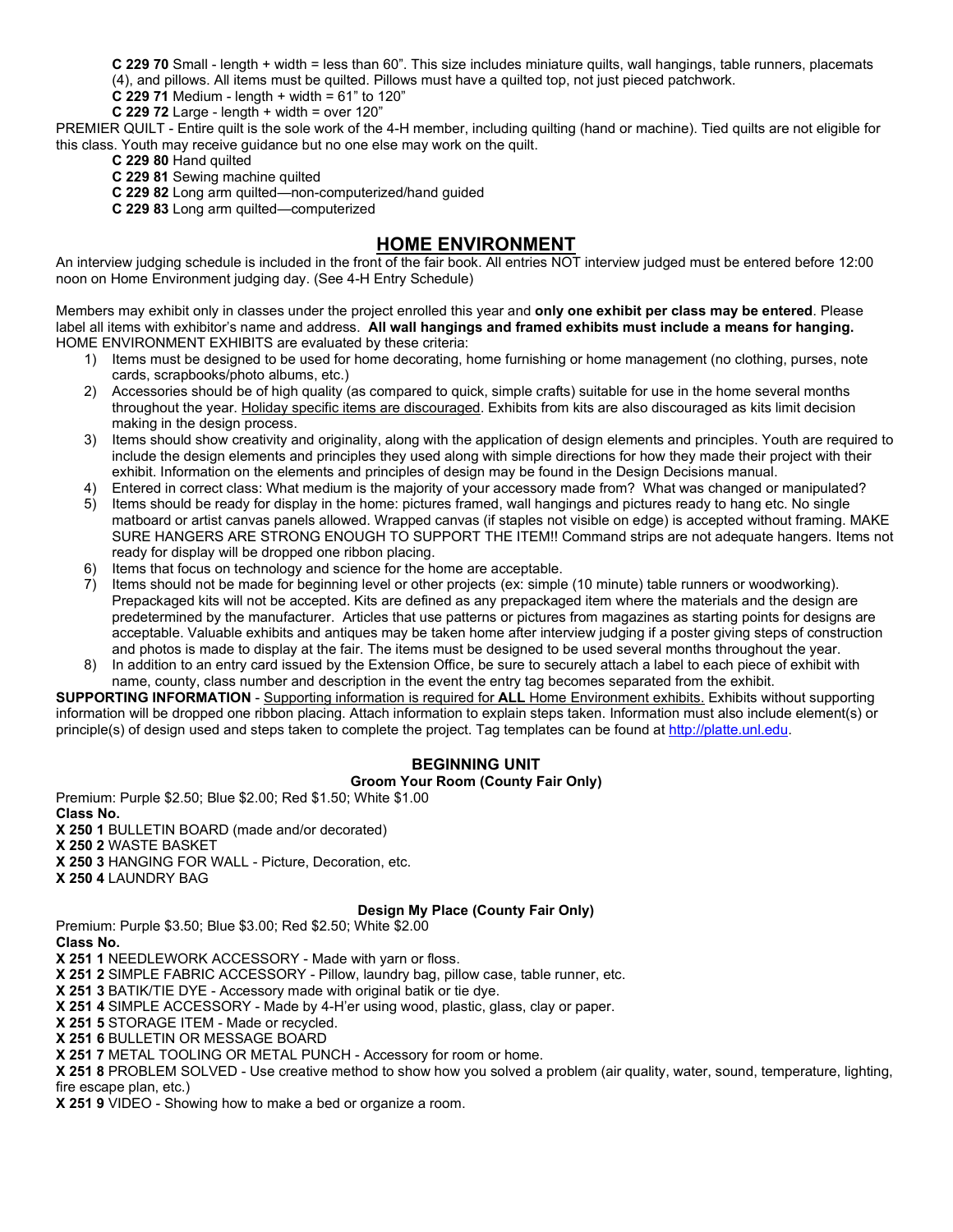**C 229 70** Small - length + width = less than 60". This size includes miniature quilts, wall hangings, table runners, placemats (4), and pillows. All items must be quilted. Pillows must have a quilted top, not just pieced patchwork.

**C 229 71** Medium - length + width =  $61$ " to  $120$ "

**C 229 72** Large - length + width = over 120"

PREMIER QUILT - Entire quilt is the sole work of the 4-H member, including quilting (hand or machine). Tied quilts are not eligible for this class. Youth may receive guidance but no one else may work on the quilt.

- **C 229 80** Hand quilted
- **C 229 81** Sewing machine quilted
- **C 229 82** Long arm quilted—non-computerized/hand guided
- **C 229 83** Long arm quilted—computerized

## **HOME ENVIRONMENT**

An interview judging schedule is included in the front of the fair book. All entries NOT interview judged must be entered before 12:00 noon on Home Environment judging day. (See 4-H Entry Schedule)

Members may exhibit only in classes under the project enrolled this year and **only one exhibit per class may be entered**. Please label all items with exhibitor's name and address. **All wall hangings and framed exhibits must include a means for hanging.**  HOME ENVIRONMENT EXHIBITS are evaluated by these criteria:

- 1) Items must be designed to be used for home decorating, home furnishing or home management (no clothing, purses, note cards, scrapbooks/photo albums, etc.)
- 2) Accessories should be of high quality (as compared to quick, simple crafts) suitable for use in the home several months throughout the year. Holiday specific items are discouraged. Exhibits from kits are also discouraged as kits limit decision making in the design process.
- 3) Items should show creativity and originality, along with the application of design elements and principles. Youth are required to include the design elements and principles they used along with simple directions for how they made their project with their exhibit. Information on the elements and principles of design may be found in the Design Decisions manual.
- 4) Entered in correct class: What medium is the majority of your accessory made from? What was changed or manipulated?
- 5) Items should be ready for display in the home: pictures framed, wall hangings and pictures ready to hang etc. No single matboard or artist canvas panels allowed. Wrapped canvas (if staples not visible on edge) is accepted without framing. MAKE SURE HANGERS ARE STRONG ENOUGH TO SUPPORT THE ITEM!! Command strips are not adequate hangers. Items not ready for display will be dropped one ribbon placing.
- 6) Items that focus on technology and science for the home are acceptable.<br>
7) Items should not be made for beginning level or other projects (ex: simple
- Items should not be made for beginning level or other projects (ex: simple (10 minute) table runners or woodworking). Prepackaged kits will not be accepted. Kits are defined as any prepackaged item where the materials and the design are predetermined by the manufacturer. Articles that use patterns or pictures from magazines as starting points for designs are acceptable. Valuable exhibits and antiques may be taken home after interview judging if a poster giving steps of construction and photos is made to display at the fair. The items must be designed to be used several months throughout the year.
- 8) In addition to an entry card issued by the Extension Office, be sure to securely attach a label to each piece of exhibit with name, county, class number and description in the event the entry tag becomes separated from the exhibit.

**SUPPORTING INFORMATION** - Supporting information is required for **ALL** Home Environment exhibits. Exhibits without supporting information will be dropped one ribbon placing. Attach information to explain steps taken. Information must also include element(s) or principle(s) of design used and steps taken to complete the project. Tag templates can be found a[t http://platte.unl.edu.](http://platte.unl.edu/)

## **BEGINNING UNIT**

#### **Groom Your Room (County Fair Only)**

Premium: Purple \$2.50; Blue \$2.00; Red \$1.50; White \$1.00 **Class No. X 250 1** BULLETIN BOARD (made and/or decorated) **X 250 2** WASTE BASKET **X 250 3** HANGING FOR WALL - Picture, Decoration, etc. **X 250 4** LAUNDRY BAG

#### **Design My Place (County Fair Only)**

Premium: Purple \$3.50; Blue \$3.00; Red \$2.50; White \$2.00

**Class No.**

**X 251 1** NEEDLEWORK ACCESSORY - Made with yarn or floss.

**X 251 2** SIMPLE FABRIC ACCESSORY - Pillow, laundry bag, pillow case, table runner, etc.

**X 251 3** BATIK/TIE DYE - Accessory made with original batik or tie dye.

**X 251 4** SIMPLE ACCESSORY - Made by 4-H'er using wood, plastic, glass, clay or paper.

**X 251 5** STORAGE ITEM - Made or recycled.

**X 251 6** BULLETIN OR MESSAGE BOARD

**X 251 7** METAL TOOLING OR METAL PUNCH - Accessory for room or home.

**X 251 8** PROBLEM SOLVED - Use creative method to show how you solved a problem (air quality, water, sound, temperature, lighting, fire escape plan, etc.)

**X 251 9** VIDEO - Showing how to make a bed or organize a room.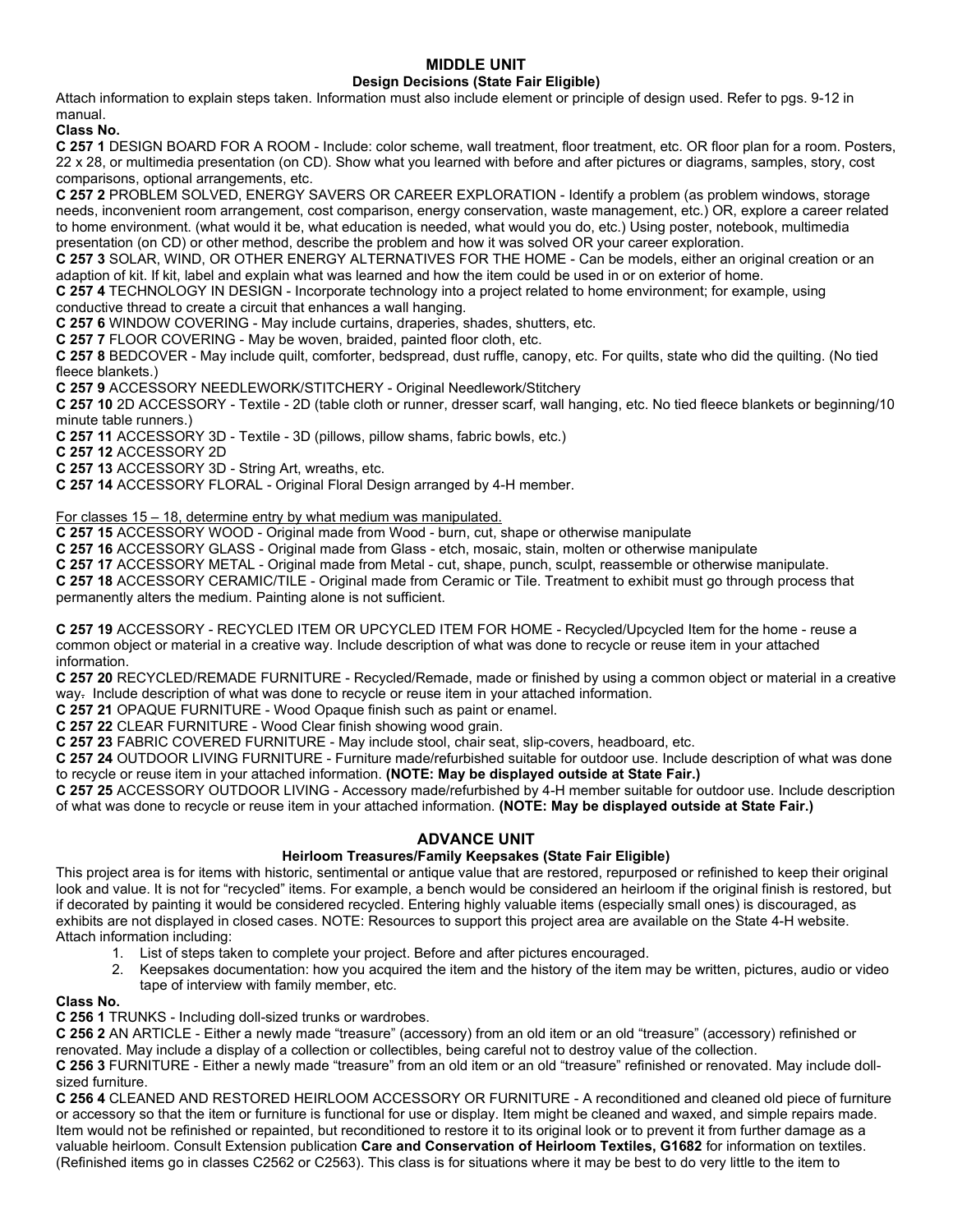## **MIDDLE UNIT**

#### **Design Decisions (State Fair Eligible)**

Attach information to explain steps taken. Information must also include element or principle of design used. Refer to pgs. 9-12 in manual.

**Class No.**

**C 257 1** DESIGN BOARD FOR A ROOM - Include: color scheme, wall treatment, floor treatment, etc. OR floor plan for a room. Posters, 22 x 28, or multimedia presentation (on CD). Show what you learned with before and after pictures or diagrams, samples, story, cost comparisons, optional arrangements, etc.

**C 257 2** PROBLEM SOLVED, ENERGY SAVERS OR CAREER EXPLORATION - Identify a problem (as problem windows, storage needs, inconvenient room arrangement, cost comparison, energy conservation, waste management, etc.) OR, explore a career related to home environment. (what would it be, what education is needed, what would you do, etc.) Using poster, notebook, multimedia presentation (on CD) or other method, describe the problem and how it was solved OR your career exploration.

**C 257 3** SOLAR, WIND, OR OTHER ENERGY ALTERNATIVES FOR THE HOME - Can be models, either an original creation or an adaption of kit. If kit, label and explain what was learned and how the item could be used in or on exterior of home.

**C 257 4** TECHNOLOGY IN DESIGN - Incorporate technology into a project related to home environment; for example, using conductive thread to create a circuit that enhances a wall hanging.

**C 257 6** WINDOW COVERING - May include curtains, draperies, shades, shutters, etc.

**C 257 7** FLOOR COVERING - May be woven, braided, painted floor cloth, etc.

**C 257 8** BEDCOVER - May include quilt, comforter, bedspread, dust ruffle, canopy, etc. For quilts, state who did the quilting. (No tied fleece blankets.)

**C 257 9** ACCESSORY NEEDLEWORK/STITCHERY - Original Needlework/Stitchery

**C 257 10** 2D ACCESSORY - Textile - 2D (table cloth or runner, dresser scarf, wall hanging, etc. No tied fleece blankets or beginning/10 minute table runners.)

**C 257 11** ACCESSORY 3D - Textile - 3D (pillows, pillow shams, fabric bowls, etc.)

**C 257 12** ACCESSORY 2D

**C 257 13** ACCESSORY 3D - String Art, wreaths, etc.

**C 257 14** ACCESSORY FLORAL - Original Floral Design arranged by 4-H member.

#### For classes 15 – 18, determine entry by what medium was manipulated.

**C 257 15** ACCESSORY WOOD - Original made from Wood - burn, cut, shape or otherwise manipulate

**C 257 16** ACCESSORY GLASS - Original made from Glass - etch, mosaic, stain, molten or otherwise manipulate

**C 257 17** ACCESSORY METAL - Original made from Metal - cut, shape, punch, sculpt, reassemble or otherwise manipulate.

**C 257 18** ACCESSORY CERAMIC/TILE - Original made from Ceramic or Tile. Treatment to exhibit must go through process that permanently alters the medium. Painting alone is not sufficient.

**C 257 19** ACCESSORY - RECYCLED ITEM OR UPCYCLED ITEM FOR HOME - Recycled/Upcycled Item for the home - reuse a common object or material in a creative way. Include description of what was done to recycle or reuse item in your attached information.

**C 257 20** RECYCLED/REMADE FURNITURE - Recycled/Remade, made or finished by using a common object or material in a creative way. Include description of what was done to recycle or reuse item in your attached information.

**C 257 21** OPAQUE FURNITURE - Wood Opaque finish such as paint or enamel.

**C 257 22** CLEAR FURNITURE - Wood Clear finish showing wood grain.

**C 257 23** FABRIC COVERED FURNITURE - May include stool, chair seat, slip-covers, headboard, etc.

**C 257 24** OUTDOOR LIVING FURNITURE - Furniture made/refurbished suitable for outdoor use. Include description of what was done to recycle or reuse item in your attached information. **(NOTE: May be displayed outside at State Fair.)**

**C 257 25** ACCESSORY OUTDOOR LIVING - Accessory made/refurbished by 4-H member suitable for outdoor use. Include description of what was done to recycle or reuse item in your attached information. **(NOTE: May be displayed outside at State Fair.)**

## **ADVANCE UNIT**

## **Heirloom Treasures/Family Keepsakes (State Fair Eligible)**

This project area is for items with historic, sentimental or antique value that are restored, repurposed or refinished to keep their original look and value. It is not for "recycled" items. For example, a bench would be considered an heirloom if the original finish is restored, but if decorated by painting it would be considered recycled. Entering highly valuable items (especially small ones) is discouraged, as exhibits are not displayed in closed cases. NOTE: Resources to support this project area are available on the State 4-H website. Attach information including:

- 1. List of steps taken to complete your project. Before and after pictures encouraged.
- 2. Keepsakes documentation: how you acquired the item and the history of the item may be written, pictures, audio or video tape of interview with family member, etc.

#### **Class No.**

**C 256 1** TRUNKS - Including doll-sized trunks or wardrobes.

**C 256 2** AN ARTICLE - Either a newly made "treasure" (accessory) from an old item or an old "treasure" (accessory) refinished or renovated. May include a display of a collection or collectibles, being careful not to destroy value of the collection.

**C 256 3** FURNITURE - Either a newly made "treasure" from an old item or an old "treasure" refinished or renovated. May include dollsized furniture.

**C 256 4** CLEANED AND RESTORED HEIRLOOM ACCESSORY OR FURNITURE - A reconditioned and cleaned old piece of furniture or accessory so that the item or furniture is functional for use or display. Item might be cleaned and waxed, and simple repairs made. Item would not be refinished or repainted, but reconditioned to restore it to its original look or to prevent it from further damage as a valuable heirloom. Consult Extension publication **Care and Conservation of Heirloom Textiles, G1682** for information on textiles. (Refinished items go in classes C2562 or C2563). This class is for situations where it may be best to do very little to the item to